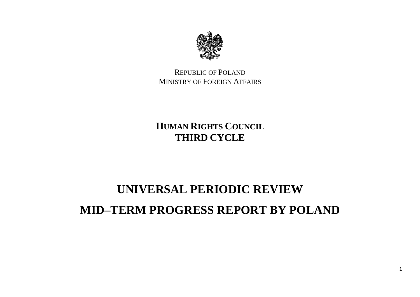

REPUBLIC OF POLAND MINISTRY OF FOREIGN AFFAIRS

**HUMAN RIGHTS COUNCIL THIRD CYCLE**

## **UNIVERSAL PERIODIC REVIEW MID–TERM PROGRESS REPORT BY POLAND**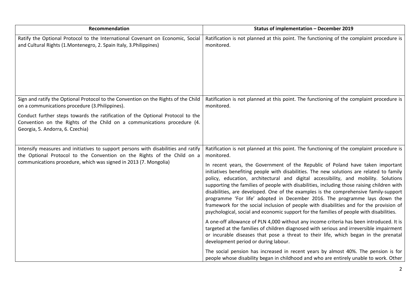| Recommendation                                                                                                                                                                                                                    | Status of implementation - December 2019                                                                                                                                                                                                                                                                                                                                                                                                                                                                                                                                                                                                                                                                                                                                                                                                                                                                                                                                                                                                                                                                                                                    |
|-----------------------------------------------------------------------------------------------------------------------------------------------------------------------------------------------------------------------------------|-------------------------------------------------------------------------------------------------------------------------------------------------------------------------------------------------------------------------------------------------------------------------------------------------------------------------------------------------------------------------------------------------------------------------------------------------------------------------------------------------------------------------------------------------------------------------------------------------------------------------------------------------------------------------------------------------------------------------------------------------------------------------------------------------------------------------------------------------------------------------------------------------------------------------------------------------------------------------------------------------------------------------------------------------------------------------------------------------------------------------------------------------------------|
| Ratify the Optional Protocol to the International Covenant on Economic, Social<br>and Cultural Rights (1.Montenegro, 2. Spain Italy, 3.Philippines)                                                                               | Ratification is not planned at this point. The functioning of the complaint procedure is<br>monitored.                                                                                                                                                                                                                                                                                                                                                                                                                                                                                                                                                                                                                                                                                                                                                                                                                                                                                                                                                                                                                                                      |
| Sign and ratify the Optional Protocol to the Convention on the Rights of the Child<br>on a communications procedure (3. Philippines).                                                                                             | Ratification is not planned at this point. The functioning of the complaint procedure is<br>monitored.                                                                                                                                                                                                                                                                                                                                                                                                                                                                                                                                                                                                                                                                                                                                                                                                                                                                                                                                                                                                                                                      |
| Conduct further steps towards the ratification of the Optional Protocol to the<br>Convention on the Rights of the Child on a communications procedure (4.<br>Georgia, 5. Andorra, 6. Czechia)                                     |                                                                                                                                                                                                                                                                                                                                                                                                                                                                                                                                                                                                                                                                                                                                                                                                                                                                                                                                                                                                                                                                                                                                                             |
| Intensify measures and initiatives to support persons with disabilities and ratify<br>the Optional Protocol to the Convention on the Rights of the Child on a<br>communications procedure, which was signed in 2013 (7. Mongolia) | Ratification is not planned at this point. The functioning of the complaint procedure is<br>monitored.<br>In recent years, the Government of the Republic of Poland have taken important<br>initiatives benefiting people with disabilities. The new solutions are related to family<br>policy, education, architectural and digital accessibility, and mobility. Solutions<br>supporting the families of people with disabilities, including those raising children with<br>disabilities, are developed. One of the examples is the comprehensive family-support<br>programme 'For life' adopted in December 2016. The programme lays down the<br>framework for the social inclusion of people with disabilities and for the provision of<br>psychological, social and economic support for the families of people with disabilities.<br>A one-off allowance of PLN 4,000 without any income criteria has been introduced. It is<br>targeted at the families of children diagnosed with serious and irreversible impairment<br>or incurable diseases that pose a threat to their life, which began in the prenatal<br>development period or during labour. |
|                                                                                                                                                                                                                                   | The social pension has increased in recent years by almost 40%. The pension is for<br>people whose disability began in childhood and who are entirely unable to work. Other                                                                                                                                                                                                                                                                                                                                                                                                                                                                                                                                                                                                                                                                                                                                                                                                                                                                                                                                                                                 |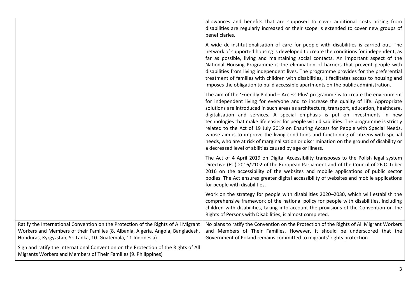|                                                                                                                                                                                                                                         | allowances and benefits that are supposed to cover additional costs arising from<br>disabilities are regularly increased or their scope is extended to cover new groups of<br>beneficiaries.                                                                                                                                                                                                                                                                                                                                                                                                                                                                                                                                                                                                         |
|-----------------------------------------------------------------------------------------------------------------------------------------------------------------------------------------------------------------------------------------|------------------------------------------------------------------------------------------------------------------------------------------------------------------------------------------------------------------------------------------------------------------------------------------------------------------------------------------------------------------------------------------------------------------------------------------------------------------------------------------------------------------------------------------------------------------------------------------------------------------------------------------------------------------------------------------------------------------------------------------------------------------------------------------------------|
|                                                                                                                                                                                                                                         | A wide de-institutionalisation of care for people with disabilities is carried out. The<br>network of supported housing is developed to create the conditions for independent, as<br>far as possible, living and maintaining social contacts. An important aspect of the<br>National Housing Programme is the elimination of barriers that prevent people with<br>disabilities from living independent lives. The programme provides for the preferential<br>treatment of families with children with disabilities, it facilitates access to housing and<br>imposes the obligation to build accessible apartments on the public administration.                                                                                                                                                      |
|                                                                                                                                                                                                                                         | The aim of the 'Friendly Poland - Access Plus' programme is to create the environment<br>for independent living for everyone and to increase the quality of life. Appropriate<br>solutions are introduced in such areas as architecture, transport, education, healthcare,<br>digitalisation and services. A special emphasis is put on investments in new<br>technologies that make life easier for people with disabilities. The programme is strictly<br>related to the Act of 19 July 2019 on Ensuring Access for People with Special Needs,<br>whose aim is to improve the living conditions and functioning of citizens with special<br>needs, who are at risk of marginalisation or discrimination on the ground of disability or<br>a decreased level of abilities caused by age or illness. |
|                                                                                                                                                                                                                                         | The Act of 4 April 2019 on Digital Accessibility transposes to the Polish legal system<br>Directive (EU) 2016/2102 of the European Parliament and of the Council of 26 October<br>2016 on the accessibility of the websites and mobile applications of public sector<br>bodies. The Act ensures greater digital accessibility of websites and mobile applications<br>for people with disabilities.                                                                                                                                                                                                                                                                                                                                                                                                   |
|                                                                                                                                                                                                                                         | Work on the strategy for people with disabilities 2020-2030, which will establish the<br>comprehensive framework of the national policy for people with disabilities, including<br>children with disabilities, taking into account the provisions of the Convention on the<br>Rights of Persons with Disabilities, is almost completed.                                                                                                                                                                                                                                                                                                                                                                                                                                                              |
| Ratify the International Convention on the Protection of the Rights of All Migrant<br>Workers and Members of their Families (8. Albania, Algeria, Angola, Bangladesh,<br>Honduras, Kyrgyzstan, Sri Lanka, 10. Guatemala, 11. Indonesia) | No plans to ratify the Convention on the Protection of the Rights of All Migrant Workers<br>and Members of Their Families. However, it should be underscored that the<br>Government of Poland remains committed to migrants' rights protection.                                                                                                                                                                                                                                                                                                                                                                                                                                                                                                                                                      |
| Sign and ratify the International Convention on the Protection of the Rights of All<br>Migrants Workers and Members of Their Families (9. Philippines)                                                                                  |                                                                                                                                                                                                                                                                                                                                                                                                                                                                                                                                                                                                                                                                                                                                                                                                      |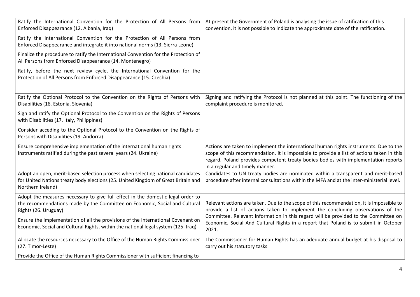| Ratify the International Convention for the Protection of All Persons from<br>Enforced Disappearance (12. Albania, Iraq)                                                                  | At present the Government of Poland is analysing the issue of ratification of this<br>convention, it is not possible to indicate the approximate date of the ratification.                                                                                                                                  |
|-------------------------------------------------------------------------------------------------------------------------------------------------------------------------------------------|-------------------------------------------------------------------------------------------------------------------------------------------------------------------------------------------------------------------------------------------------------------------------------------------------------------|
| Ratify the International Convention for the Protection of All Persons from<br>Enforced Disappearance and integrate it into national norms (13. Sierra Leone)                              |                                                                                                                                                                                                                                                                                                             |
| Finalize the procedure to ratify the International Convention for the Protection of<br>All Persons from Enforced Disappearance (14. Montenegro)                                           |                                                                                                                                                                                                                                                                                                             |
| Ratify, before the next review cycle, the International Convention for the<br>Protection of All Persons from Enforced Disappearance (15. Czechia)                                         |                                                                                                                                                                                                                                                                                                             |
| Ratify the Optional Protocol to the Convention on the Rights of Persons with<br>Disabilities (16. Estonia, Slovenia)                                                                      | Signing and ratifying the Protocol is not planned at this point. The functioning of the<br>complaint procedure is monitored.                                                                                                                                                                                |
| Sign and ratify the Optional Protocol to the Convention on the Rights of Persons<br>with Disabilities (17. Italy, Philippines)                                                            |                                                                                                                                                                                                                                                                                                             |
| Consider acceding to the Optional Protocol to the Convention on the Rights of<br>Persons with Disabilities (19. Andorra)                                                                  |                                                                                                                                                                                                                                                                                                             |
| Ensure comprehensive implementation of the international human rights<br>instruments ratified during the past several years (24. Ukraine)                                                 | Actions are taken to implement the international human rights instruments. Due to the<br>scope of this recommendation, it is impossible to provide a list of actions taken in this<br>regard. Poland provides competent treaty bodies bodies with implementation reports<br>in a regular and timely manner. |
| Adopt an open, merit-based selection process when selecting national candidates<br>for United Nations treaty body elections (25. United Kingdom of Great Britain and<br>Northern Ireland) | Candidates to UN treaty bodies are nominated within a transparent and merit-based<br>procedure after internal consultations within the MFA and at the inter-ministerial level.                                                                                                                              |
| Adopt the measures necessary to give full effect in the domestic legal order to<br>the recommendations made by the Committee on Economic, Social and Cultural<br>Rights (26. Uruguay)     | Relevant actions are taken. Due to the scope of this recommendation, it is impossible to<br>provide a list of actions taken to implement the concluding observations of the                                                                                                                                 |
| Ensure the implementation of all the provisions of the International Covenant on<br>Economic, Social and Cultural Rights, within the national legal system (125. Iraq)                    | Committee. Relevant information in this regard will be provided to the Committee on<br>Economic, Social And Cultural Rights in a report that Poland is to submit in October<br>2021.                                                                                                                        |
| Allocate the resources necessary to the Office of the Human Rights Commissioner<br>(27. Timor-Leste)                                                                                      | The Commissioner for Human Rights has an adequate annual budget at his disposal to<br>carry out his statutory tasks.                                                                                                                                                                                        |
| Provide the Office of the Human Rights Commissioner with sufficient financing to                                                                                                          |                                                                                                                                                                                                                                                                                                             |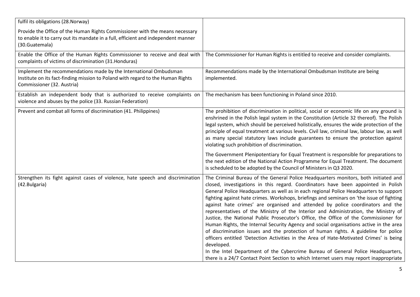| fulfil its obligations (28. Norway)                                                                                                                                                 |                                                                                                                                                                                                                                                                                                                                                                                                                                                                                                                                                                                                                                                                                                                                                                                                                                                                                                                                                                                                                                                                                                         |
|-------------------------------------------------------------------------------------------------------------------------------------------------------------------------------------|---------------------------------------------------------------------------------------------------------------------------------------------------------------------------------------------------------------------------------------------------------------------------------------------------------------------------------------------------------------------------------------------------------------------------------------------------------------------------------------------------------------------------------------------------------------------------------------------------------------------------------------------------------------------------------------------------------------------------------------------------------------------------------------------------------------------------------------------------------------------------------------------------------------------------------------------------------------------------------------------------------------------------------------------------------------------------------------------------------|
| Provide the Office of the Human Rights Commissioner with the means necessary<br>to enable it to carry out its mandate in a full, efficient and independent manner<br>(30.Guatemala) |                                                                                                                                                                                                                                                                                                                                                                                                                                                                                                                                                                                                                                                                                                                                                                                                                                                                                                                                                                                                                                                                                                         |
| Enable the Office of the Human Rights Commissioner to receive and deal with<br>complaints of victims of discrimination (31. Honduras)                                               | The Commissioner for Human Rights is entitled to receive and consider complaints.                                                                                                                                                                                                                                                                                                                                                                                                                                                                                                                                                                                                                                                                                                                                                                                                                                                                                                                                                                                                                       |
| Implement the recommendations made by the International Ombudsman<br>Institute on its fact-finding mission to Poland with regard to the Human Rights<br>Commissioner (32. Austria)  | Recommendations made by the International Ombudsman Institute are being<br>implemented.                                                                                                                                                                                                                                                                                                                                                                                                                                                                                                                                                                                                                                                                                                                                                                                                                                                                                                                                                                                                                 |
| Establish an independent body that is authorized to receive complaints on<br>violence and abuses by the police (33. Russian Federation)                                             | The mechanism has been functioning in Poland since 2010.                                                                                                                                                                                                                                                                                                                                                                                                                                                                                                                                                                                                                                                                                                                                                                                                                                                                                                                                                                                                                                                |
| Prevent and combat all forms of discrimination (41. Philippines)                                                                                                                    | The prohibition of discrimination in political, social or economic life on any ground is<br>enshrined in the Polish legal system in the Constitution (Article 32 thereof). The Polish<br>legal system, which should be perceived holistically, ensures the wide protection of the<br>principle of equal treatment at various levels. Civil law, criminal law, labour law, as well<br>as many special statutory laws include guarantees to ensure the protection against<br>violating such prohibition of discrimination.                                                                                                                                                                                                                                                                                                                                                                                                                                                                                                                                                                                |
|                                                                                                                                                                                     | The Government Plenipotentiary for Equal Treatment is responsible for preparations to<br>the next edition of the National Action Programme for Equal Treatment. The document<br>is scheduled to be adopted by the Council of Ministers in Q3 2020.                                                                                                                                                                                                                                                                                                                                                                                                                                                                                                                                                                                                                                                                                                                                                                                                                                                      |
| Strengthen its fight against cases of violence, hate speech and discrimination<br>(42. Bulgaria)                                                                                    | The Criminal Bureau of the General Police Headquarters monitors, both initiated and<br>closed, investigations in this regard. Coordinators have been appointed in Polish<br>General Police Headquarters as well as in each regional Police Headquarters to support<br>fighting against hate crimes. Workshops, briefings and seminars on 'the issue of fighting<br>against hate crimes' are organised and attended by police coordinators and the<br>representatives of the Ministry of the Interior and Administration, the Ministry of<br>Justice, the National Public Prosecutor's Office, the Office of the Commissioner for<br>Human Rights, the Internal Security Agency and social organisations active in the area<br>of discrimination issues and the protection of human rights. A guideline for police<br>officers entitled 'Detection Activities in the Area of Hate-Motivated Crimes' is being<br>developed.<br>In the Intel Department of the Cybercrime Bureau of General Police Headquarters,<br>there is a 24/7 Contact Point Section to which Internet users may report inappropriate |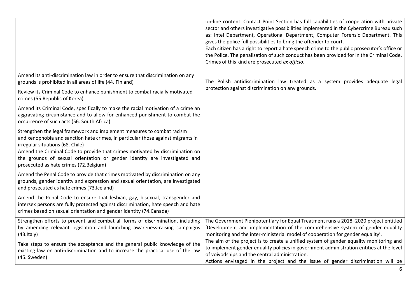|                                                                                                                                                                                                                                                                                                                                                                                                        | on-line content. Contact Point Section has full capabilities of cooperation with private<br>sector and others investigative possibilities implemented in the Cybercrime Bureau such<br>as: Intel Department, Operational Department, Computer Forensic Department. This<br>gives the police full possibilities to bring the offender to court.<br>Each citizen has a right to report a hate speech crime to the public prosecutor's office or<br>the Police. The penalisation of such conduct has been provided for in the Criminal Code.<br>Crimes of this kind are prosecuted ex officio. |
|--------------------------------------------------------------------------------------------------------------------------------------------------------------------------------------------------------------------------------------------------------------------------------------------------------------------------------------------------------------------------------------------------------|---------------------------------------------------------------------------------------------------------------------------------------------------------------------------------------------------------------------------------------------------------------------------------------------------------------------------------------------------------------------------------------------------------------------------------------------------------------------------------------------------------------------------------------------------------------------------------------------|
| Amend its anti-discrimination law in order to ensure that discrimination on any<br>grounds is prohibited in all areas of life (44. Finland)                                                                                                                                                                                                                                                            | The Polish antidiscrimination law treated as a system provides adequate legal                                                                                                                                                                                                                                                                                                                                                                                                                                                                                                               |
| Review its Criminal Code to enhance punishment to combat racially motivated<br>crimes (55. Republic of Korea)                                                                                                                                                                                                                                                                                          | protection against discrimination on any grounds.                                                                                                                                                                                                                                                                                                                                                                                                                                                                                                                                           |
| Amend its Criminal Code, specifically to make the racial motivation of a crime an<br>aggravating circumstance and to allow for enhanced punishment to combat the<br>occurrence of such acts (56. South Africa)                                                                                                                                                                                         |                                                                                                                                                                                                                                                                                                                                                                                                                                                                                                                                                                                             |
| Strengthen the legal framework and implement measures to combat racism<br>and xenophobia and sanction hate crimes, in particular those against migrants in<br>irregular situations (68. Chile)<br>Amend the Criminal Code to provide that crimes motivated by discrimination on<br>the grounds of sexual orientation or gender identity are investigated and<br>prosecuted as hate crimes (72.Belgium) |                                                                                                                                                                                                                                                                                                                                                                                                                                                                                                                                                                                             |
| Amend the Penal Code to provide that crimes motivated by discrimination on any<br>grounds, gender identity and expression and sexual orientation, are investigated<br>and prosecuted as hate crimes (73.Iceland)                                                                                                                                                                                       |                                                                                                                                                                                                                                                                                                                                                                                                                                                                                                                                                                                             |
| Amend the Penal Code to ensure that lesbian, gay, bisexual, transgender and<br>intersex persons are fully protected against discrimination, hate speech and hate<br>crimes based on sexual orientation and gender identity (74.Canada)                                                                                                                                                                 |                                                                                                                                                                                                                                                                                                                                                                                                                                                                                                                                                                                             |
| Strengthen efforts to prevent and combat all forms of discrimination, including<br>by amending relevant legislation and launching awareness-raising campaigns<br>$(43.$ Italy $)$                                                                                                                                                                                                                      | The Government Plenipotentiary for Equal Treatment runs a 2018-2020 project entitled<br>Development and implementation of the comprehensive system of gender equality<br>monitoring and the inter-ministerial model of cooperation for gender equality'.                                                                                                                                                                                                                                                                                                                                    |
| Take steps to ensure the acceptance and the general public knowledge of the<br>existing law on anti-discrimination and to increase the practical use of the law<br>(45. Sweden)                                                                                                                                                                                                                        | The aim of the project is to create a unified system of gender equality monitoring and<br>to implement gender equality policies in government administration entities at the level<br>of voivodships and the central administration.<br>Actions envisaged in the project and the issue of gender discrimination will be                                                                                                                                                                                                                                                                     |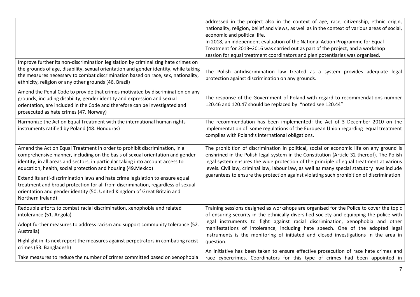|                                                                                                                                                                                                                                                                                                                         | addressed in the project also in the context of age, race, citizenship, ethnic origin,<br>nationality, religion, belief and views, as well as in the context of various areas of social,<br>economic and political life.<br>In 2018, an independent evaluation of the National Action Programme for Equal<br>Treatment for 2013-2016 was carried out as part of the project, and a workshop<br>session for equal treatment coordinators and plenipotentiaries was organised. |
|-------------------------------------------------------------------------------------------------------------------------------------------------------------------------------------------------------------------------------------------------------------------------------------------------------------------------|------------------------------------------------------------------------------------------------------------------------------------------------------------------------------------------------------------------------------------------------------------------------------------------------------------------------------------------------------------------------------------------------------------------------------------------------------------------------------|
| Improve further its non-discrimination legislation by criminalizing hate crimes on<br>the grounds of age, disability, sexual orientation and gender identity, while taking<br>the measures necessary to combat discrimination based on race, sex, nationality,<br>ethnicity, religion or any other grounds (46. Brazil) | The Polish antidiscrimination law treated as a system provides adequate legal<br>protection against discrimination on any grounds.                                                                                                                                                                                                                                                                                                                                           |
| Amend the Penal Code to provide that crimes motivated by discrimination on any<br>grounds, including disability, gender identity and expression and sexual<br>orientation, are included in the Code and therefore can be investigated and<br>prosecuted as hate crimes (47. Norway)                                     | The response of the Government of Poland with regard to recommendations number<br>120.46 and 120.47 should be replaced by: "noted see 120.44"                                                                                                                                                                                                                                                                                                                                |
| Harmonize the Act on Equal Treatment with the international human rights<br>instruments ratified by Poland (48. Honduras)                                                                                                                                                                                               | The recommendation has been implemented: the Act of 3 December 2010 on the<br>implementation of some regulations of the European Union regarding equal treatment<br>complies with Poland's international obligations.                                                                                                                                                                                                                                                        |
| Amend the Act on Equal Treatment in order to prohibit discrimination, in a<br>comprehensive manner, including on the basis of sexual orientation and gender<br>identity, in all areas and sectors, in particular taking into account access to<br>education, health, social protection and housing (49. Mexico)         | The prohibition of discrimination in political, social or economic life on any ground is<br>enshrined in the Polish legal system in the Constitution (Article 32 thereof). The Polish<br>legal system ensures the wide protection of the principle of equal treatment at various<br>levels. Civil law, criminal law, labour law, as well as many special statutory laws include                                                                                              |
| Extend its anti-discrimination laws and hate crime legislation to ensure equal<br>treatment and broad protection for all from discrimination, regardless of sexual<br>orientation and gender identity (50. United Kingdom of Great Britain and<br>Northern Ireland)                                                     | guarantees to ensure the protection against violating such prohibition of discrimination.                                                                                                                                                                                                                                                                                                                                                                                    |
| Redouble efforts to combat racial discrimination, xenophobia and related<br>intolerance (51. Angola)                                                                                                                                                                                                                    | Training sessions designed as workshops are organised for the Police to cover the topic<br>of ensuring security in the ethnically diversified society and equipping the police with                                                                                                                                                                                                                                                                                          |
| Adopt further measures to address racism and support community tolerance (52.<br>Australia)                                                                                                                                                                                                                             | legal instruments to fight against racial discrimination, xenophobia and other<br>manifestations of intolerance, including hate speech. One of the adopted legal<br>instruments is the monitoring of initiated and closed investigations in the area in                                                                                                                                                                                                                      |
| Highlight in its next report the measures against perpetrators in combating racist<br>crimes (53. Bangladesh)                                                                                                                                                                                                           | question.<br>An initiative has been taken to ensure effective prosecution of race hate crimes and                                                                                                                                                                                                                                                                                                                                                                            |
| Take measures to reduce the number of crimes committed based on xenophobia                                                                                                                                                                                                                                              | race cybercrimes. Coordinators for this type of crimes had been appointed in                                                                                                                                                                                                                                                                                                                                                                                                 |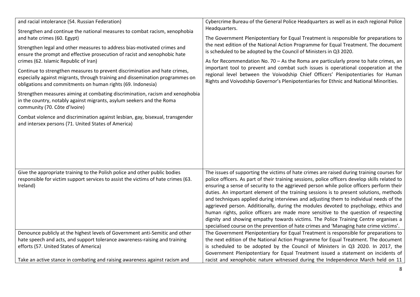| and racial intolerance (54. Russian Federation)<br>Strengthen and continue the national measures to combat racism, xenophobia<br>and hate crimes (60. Egypt)<br>Strengthen legal and other measures to address bias-motivated crimes and<br>ensure the prompt and effective prosecution of racist and xenophobic hate<br>crimes (62. Islamic Republic of Iran)<br>Continue to strengthen measures to prevent discrimination and hate crimes,<br>especially against migrants, through training and dissemination programmes on<br>obligations and commitments on human rights (69. Indonesia)<br>Strengthen measures aiming at combating discrimination, racism and xenophobia<br>in the country, notably against migrants, asylum seekers and the Roma<br>community (70. Côte d'Ivoire)<br>Combat violence and discrimination against lesbian, gay, bisexual, transgender<br>and intersex persons (71. United States of America) | Cybercrime Bureau of the General Police Headquarters as well as in each regional Police<br>Headquarters.<br>The Government Plenipotentiary for Equal Treatment is responsible for preparations to<br>the next edition of the National Action Programme for Equal Treatment. The document<br>is scheduled to be adopted by the Council of Ministers in Q3 2020.<br>As for Recommendation No. $70 - As$ the Roma are particularly prone to hate crimes, an<br>important tool to prevent and combat such issues is operational cooperation at the<br>regional level between the Voivodship Chief Officers' Plenipotentiaries for Human<br>Rights and Voivodship Governor's Plenipotentiaries for Ethnic and National Minorities.                                                                                                                |
|----------------------------------------------------------------------------------------------------------------------------------------------------------------------------------------------------------------------------------------------------------------------------------------------------------------------------------------------------------------------------------------------------------------------------------------------------------------------------------------------------------------------------------------------------------------------------------------------------------------------------------------------------------------------------------------------------------------------------------------------------------------------------------------------------------------------------------------------------------------------------------------------------------------------------------|----------------------------------------------------------------------------------------------------------------------------------------------------------------------------------------------------------------------------------------------------------------------------------------------------------------------------------------------------------------------------------------------------------------------------------------------------------------------------------------------------------------------------------------------------------------------------------------------------------------------------------------------------------------------------------------------------------------------------------------------------------------------------------------------------------------------------------------------|
| Give the appropriate training to the Polish police and other public bodies<br>responsible for victim support services to assist the victims of hate crimes (63.<br>Ireland)                                                                                                                                                                                                                                                                                                                                                                                                                                                                                                                                                                                                                                                                                                                                                      | The issues of supporting the victims of hate crimes are raised during training courses for<br>police officers. As part of their training sessions, police officers develop skills related to<br>ensuring a sense of security to the aggrieved person while police officers perform their<br>duties. An important element of the training sessions is to present solutions, methods<br>and techniques applied during interviews and adjusting them to individual needs of the<br>aggrieved person. Additionally, during the modules devoted to psychology, ethics and<br>human rights, police officers are made more sensitive to the question of respecting<br>dignity and showing empathy towards victims. The Police Training Centre organises a<br>specialised course on the prevention of hate crimes and 'Managing hate crime victims'. |
| Denounce publicly at the highest levels of Government anti-Semitic and other                                                                                                                                                                                                                                                                                                                                                                                                                                                                                                                                                                                                                                                                                                                                                                                                                                                     | The Government Plenipotentiary for Equal Treatment is responsible for preparations to                                                                                                                                                                                                                                                                                                                                                                                                                                                                                                                                                                                                                                                                                                                                                        |
| hate speech and acts, and support tolerance awareness-raising and training                                                                                                                                                                                                                                                                                                                                                                                                                                                                                                                                                                                                                                                                                                                                                                                                                                                       | the next edition of the National Action Programme for Equal Treatment. The document                                                                                                                                                                                                                                                                                                                                                                                                                                                                                                                                                                                                                                                                                                                                                          |
| efforts (57. United States of America)                                                                                                                                                                                                                                                                                                                                                                                                                                                                                                                                                                                                                                                                                                                                                                                                                                                                                           | is scheduled to be adopted by the Council of Ministers in Q3 2020. In 2017, the                                                                                                                                                                                                                                                                                                                                                                                                                                                                                                                                                                                                                                                                                                                                                              |
|                                                                                                                                                                                                                                                                                                                                                                                                                                                                                                                                                                                                                                                                                                                                                                                                                                                                                                                                  | Government Plenipotentiary for Equal Treatment issued a statement on incidents of                                                                                                                                                                                                                                                                                                                                                                                                                                                                                                                                                                                                                                                                                                                                                            |
| Take an active stance in combating and raising awareness against racism and                                                                                                                                                                                                                                                                                                                                                                                                                                                                                                                                                                                                                                                                                                                                                                                                                                                      | racist and xenophobic nature witnessed during the Independence March held on 11                                                                                                                                                                                                                                                                                                                                                                                                                                                                                                                                                                                                                                                                                                                                                              |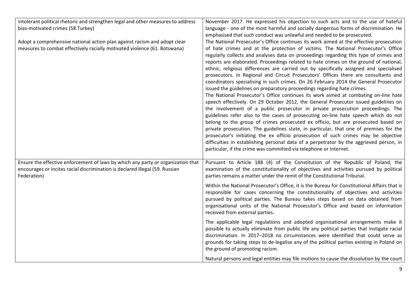| intolerant political rhetoric and strengthen legal and other measures to address<br>bias-motivated crimes (58.Turkey)                                                           | November 2017. He expressed his objection to such acts and to the use of hateful<br>language - one of the most harmful and socially dangerous forms of discrimination. He                                                                                                                                                                                                                                                                                                                                                                                                                                                                                                                                                                                                                                                                                                                                                                                                                                                                                                                                                                                                                                                                                                                                                                                                                                                                                                                                                                                                             |
|---------------------------------------------------------------------------------------------------------------------------------------------------------------------------------|---------------------------------------------------------------------------------------------------------------------------------------------------------------------------------------------------------------------------------------------------------------------------------------------------------------------------------------------------------------------------------------------------------------------------------------------------------------------------------------------------------------------------------------------------------------------------------------------------------------------------------------------------------------------------------------------------------------------------------------------------------------------------------------------------------------------------------------------------------------------------------------------------------------------------------------------------------------------------------------------------------------------------------------------------------------------------------------------------------------------------------------------------------------------------------------------------------------------------------------------------------------------------------------------------------------------------------------------------------------------------------------------------------------------------------------------------------------------------------------------------------------------------------------------------------------------------------------|
| Adopt a comprehensive national action plan against racism and adopt clear<br>measures to combat effectively racially motivated violence (61. Botswana)                          | emphasised that such conduct was unlawful and needed to be prosecuted.<br>The National Prosecutor's Office continues its work aimed at the effective prosecution<br>of hate crimes and at the protection of victims. The National Prosecutor's Office<br>regularly collects and analyses data on proceedings regarding this type of crimes and<br>reports are elaborated. Proceedings related to hate crimes on the ground of national,<br>ethnic, religious differences are carried out by specifically assigned and specialised<br>prosecutors. In Regional and Circuit Prosecutors' Offices there are consultants and<br>coordinators specialising in such crimes. On 26 February 2014 the General Prosecutor<br>issued the guidelines on preparatory proceedings regarding hate crimes.<br>The National Prosecutor's Office continues its work aimed at combating on-line hate<br>speech effectively. On 29 October 2012, the General Prosecutor issued guidelines on<br>the involvement of a public prosecutor in private prosecution proceedings. The<br>guidelines refer also to the cases of prosecuting on-line hate speech which do not<br>belong to the group of crimes prosecuted ex officio, but are prosecuted based on<br>private prosecution. The guidelines state, in particular, that one of premises for the<br>prosecutor's initiating the ex officio prosecution of such crimes may be objective<br>difficulties in establishing personal data of a perpetrator by the aggrieved person, in<br>particular, if the crime was committed via telephone or Internet. |
| Ensure the effective enforcement of laws by which any party or organization that<br>encourages or incites racial discrimination is declared illegal (59. Russian<br>Federation) | Pursuant to Article 188 (4) of the Constitution of the Republic of Poland, the<br>examination of the constitutionality of objectives and activities pursued by political<br>parties remains a matter under the remit of the Constitutional Tribunal.                                                                                                                                                                                                                                                                                                                                                                                                                                                                                                                                                                                                                                                                                                                                                                                                                                                                                                                                                                                                                                                                                                                                                                                                                                                                                                                                  |
|                                                                                                                                                                                 | Within the National Prosecutor's Office, it is the Bureau for Constitutional Affairs that is<br>responsible for cases concerning the constitutionality of objectives and activities<br>pursued by political parties. The Bureau takes steps based on data obtained from<br>organisational units of the National Prosecutor's Office and based on information<br>received from external parties.                                                                                                                                                                                                                                                                                                                                                                                                                                                                                                                                                                                                                                                                                                                                                                                                                                                                                                                                                                                                                                                                                                                                                                                       |
|                                                                                                                                                                                 | The applicable legal regulations and adopted organisational arrangements make it<br>possible to actually eliminate from public life any political parties that instigate racial<br>discrimination. In 2017-2018 no circumstances were identified that could serve as<br>grounds for taking steps to de-legalise any of the political parties existing in Poland on<br>the ground of promoting racism.                                                                                                                                                                                                                                                                                                                                                                                                                                                                                                                                                                                                                                                                                                                                                                                                                                                                                                                                                                                                                                                                                                                                                                                 |
|                                                                                                                                                                                 | Natural persons and legal entities may file motions to cause the dissolution by the court                                                                                                                                                                                                                                                                                                                                                                                                                                                                                                                                                                                                                                                                                                                                                                                                                                                                                                                                                                                                                                                                                                                                                                                                                                                                                                                                                                                                                                                                                             |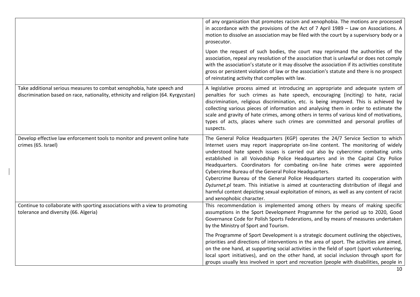|                                                                                                                                                              | of any organisation that promotes racism and xenophobia. The motions are processed<br>in accordance with the provisions of the Act of 7 April 1989 - Law on Associations. A<br>motion to dissolve an association may be filed with the court by a supervisory body or a<br>prosecutor.                                                                                                                                                                                                                                                                                                                                                                                                                                                                                                         |
|--------------------------------------------------------------------------------------------------------------------------------------------------------------|------------------------------------------------------------------------------------------------------------------------------------------------------------------------------------------------------------------------------------------------------------------------------------------------------------------------------------------------------------------------------------------------------------------------------------------------------------------------------------------------------------------------------------------------------------------------------------------------------------------------------------------------------------------------------------------------------------------------------------------------------------------------------------------------|
|                                                                                                                                                              | Upon the request of such bodies, the court may reprimand the authorities of the<br>association, repeal any resolution of the association that is unlawful or does not comply<br>with the association's statute or it may dissolve the association if its activities constitute<br>gross or persistent violation of law or the association's statute and there is no prospect<br>of reinstating activity that complies with law.                                                                                                                                                                                                                                                                                                                                                                |
| Take additional serious measures to combat xenophobia, hate speech and<br>discrimination based on race, nationality, ethnicity and religion (64. Kyrgyzstan) | A legislative process aimed at introducing an appropriate and adequate system of<br>penalties for such crimes as hate speech, encouraging (inciting) to hate, racial<br>discrimination, religious discrimination, etc. is being improved. This is achieved by<br>collecting various pieces of information and analysing them in order to estimate the<br>scale and gravity of hate crimes, among others in terms of various kind of motivations,<br>types of acts, places where such crimes are committed and personal profiles of<br>suspects.                                                                                                                                                                                                                                                |
| Develop effective law enforcement tools to monitor and prevent online hate<br>crimes (65. Israel)                                                            | The General Police Headquarters (KGP) operates the 24/7 Service Section to which<br>Internet users may report inappropriate on-line content. The monitoring of widely<br>understood hate speech issues is carried out also by cybercrime combating units<br>established in all Voivodship Police Headquarters and in the Capital City Police<br>Headquarters. Coordinators for combating on-line hate crimes were appointed<br>Cybercrime Bureau of the General Police Headquarters.<br>Cybercrime Bureau of the General Police Headquarters started its cooperation with<br>Dyżurnet.pl team. This initiative is aimed at counteracting distribution of illegal and<br>harmful content depicting sexual exploitation of minors, as well as any content of racist<br>and xenophobic character. |
| Continue to collaborate with sporting associations with a view to promoting<br>tolerance and diversity (66. Algeria)                                         | This recommendation is implemented among others by means of making specific<br>assumptions in the Sport Development Programme for the period up to 2020, Good<br>Governance Code for Polish Sports Federations, and by means of measures undertaken<br>by the Ministry of Sport and Tourism.                                                                                                                                                                                                                                                                                                                                                                                                                                                                                                   |
|                                                                                                                                                              | The Programme of Sport Development is a strategic document outlining the objectives,<br>priorities and directions of interventions in the area of sport. The activities are aimed,<br>on the one hand, at supporting social activities in the field of sport (sport volunteering,<br>local sport initiatives), and on the other hand, at social inclusion through sport for<br>groups usually less involved in sport and recreation (people with disabilities, people in                                                                                                                                                                                                                                                                                                                       |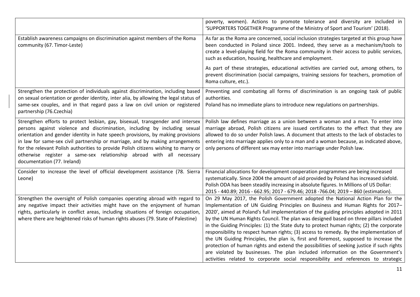|                                                                                                                                                                                                                                                                                                                                                                                                                                                                                                                               | poverty, women). Actions to promote tolerance and diversity are included in<br>'SUPPORTERS TOGETHER Programme of the Ministry of Sport and Tourism' (2018).                                                                                                                                                                                                                                                                                                                                                                                                                                                                                                                                                                                                                                                                                                                                          |
|-------------------------------------------------------------------------------------------------------------------------------------------------------------------------------------------------------------------------------------------------------------------------------------------------------------------------------------------------------------------------------------------------------------------------------------------------------------------------------------------------------------------------------|------------------------------------------------------------------------------------------------------------------------------------------------------------------------------------------------------------------------------------------------------------------------------------------------------------------------------------------------------------------------------------------------------------------------------------------------------------------------------------------------------------------------------------------------------------------------------------------------------------------------------------------------------------------------------------------------------------------------------------------------------------------------------------------------------------------------------------------------------------------------------------------------------|
| Establish awareness campaigns on discrimination against members of the Roma<br>community (67. Timor-Leste)                                                                                                                                                                                                                                                                                                                                                                                                                    | As far as the Roma are concerned, social inclusion strategies targeted at this group have<br>been conducted in Poland since 2001. Indeed, they serve as a mechanism/tools to<br>create a level-playing field for the Roma community in their access to public services,<br>such as education, housing, healthcare and employment.                                                                                                                                                                                                                                                                                                                                                                                                                                                                                                                                                                    |
|                                                                                                                                                                                                                                                                                                                                                                                                                                                                                                                               | As part of these strategies, educational activities are carried out, among others, to<br>prevent discrimination (social campaigns, training sessions for teachers, promotion of<br>Roma culture, etc.).                                                                                                                                                                                                                                                                                                                                                                                                                                                                                                                                                                                                                                                                                              |
| Strengthen the protection of individuals against discrimination, including based<br>on sexual orientation or gender identity, inter alia, by allowing the legal status of<br>same-sex couples, and in that regard pass a law on civil union or registered<br>partnership (76.Czechia)                                                                                                                                                                                                                                         | Preventing and combating all forms of discrimination is an ongoing task of public<br>authorities.<br>Poland has no immediate plans to introduce new regulations on partnerships.                                                                                                                                                                                                                                                                                                                                                                                                                                                                                                                                                                                                                                                                                                                     |
| Strengthen efforts to protect lesbian, gay, bisexual, transgender and intersex<br>persons against violence and discrimination, including by including sexual<br>orientation and gender identity in hate speech provisions, by making provisions<br>in law for same-sex civil partnership or marriage, and by making arrangements<br>for the relevant Polish authorities to provide Polish citizens wishing to marry or<br>otherwise register a same-sex relationship abroad with all necessary<br>documentation (77. Ireland) | Polish law defines marriage as a union between a woman and a man. To enter into<br>marriage abroad, Polish citizens are issued certificates to the effect that they are<br>allowed to do so under Polish laws. A document that attests to the lack of obstacles to<br>entering into marriage applies only to a man and a woman because, as indicated above,<br>only persons of different sex may enter into marriage under Polish law.                                                                                                                                                                                                                                                                                                                                                                                                                                                               |
| Consider to increase the level of official development assistance (78. Sierra<br>Leone)                                                                                                                                                                                                                                                                                                                                                                                                                                       | Financial allocations for development cooperation programmes are being increased<br>systematically. Since 2004 the amount of aid provided by Poland has increased sixfold.<br>Polish ODA has been steadily increasing in absolute figures. In Millions of US Dollar:<br>2015 - 440.89; 2016 - 662.95; 2017 - 679.46; 2018 -766.04; 2019 - 860 (estimation).                                                                                                                                                                                                                                                                                                                                                                                                                                                                                                                                          |
| Strengthen the oversight of Polish companies operating abroad with regard to<br>any negative impact their activities might have on the enjoyment of human<br>rights, particularly in conflict areas, including situations of foreign occupation,<br>where there are heightened risks of human rights abuses (79. State of Palestine)                                                                                                                                                                                          | On 29 May 2017, the Polish Government adopted the National Action Plan for the<br>Implementation of UN Guiding Principles on Business and Human Rights for 2017-<br>2020', aimed at Poland's full implementation of the guiding principles adopted in 2011<br>by the UN Human Rights Council. The plan was designed based on three pillars included<br>in the Guiding Principles: (1) the State duty to protect human rights; (2) the corporate<br>responsibility to respect human rights; (3) access to remedy. By the implementation of<br>the UN Guiding Principles, the plan is, first and foremost, supposed to increase the<br>protection of human rights and extend the possibilities of seeking justice if such rights<br>are violated by businesses. The plan included information on the Government's<br>activities related to corporate social responsibility and references to strategic |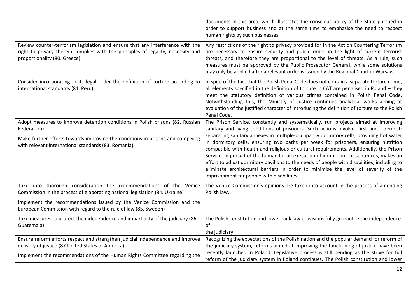|                                                                                                                                                                                                                                       | documents in this area, which illustrates the conscious policy of the State pursued in<br>order to support business and at the same time to emphasise the need to respect<br>human rights by such businesses.                                                                                                                                                                                                                                                                                                                                                                                                                                                                                                                                                                      |
|---------------------------------------------------------------------------------------------------------------------------------------------------------------------------------------------------------------------------------------|------------------------------------------------------------------------------------------------------------------------------------------------------------------------------------------------------------------------------------------------------------------------------------------------------------------------------------------------------------------------------------------------------------------------------------------------------------------------------------------------------------------------------------------------------------------------------------------------------------------------------------------------------------------------------------------------------------------------------------------------------------------------------------|
| Review counter-terrorism legislation and ensure that any interference with the<br>right to privacy therein complies with the principles of legality, necessity and<br>proportionality (80. Greece)                                    | Any restrictions of the right to privacy provided for in the Act on Countering Terrorism<br>are necessary to ensure security and public order in the light of current terrorist<br>threats, and therefore they are proportional to the level of threats. As a rule, such<br>measures must be approved by the Public Prosecutor General, while some solutions<br>may only be applied after a relevant order is issued by the Regional Court in Warsaw.                                                                                                                                                                                                                                                                                                                              |
| Consider incorporating in its legal order the definition of torture according to<br>international standards (81. Peru)                                                                                                                | In spite of the fact that the Polish Penal Code does not contain a separate torture crime,<br>all elements specified in the definition of torture in CAT are penalised in Poland - they<br>meet the statutory definition of various crimes contained in Polish Penal Code.<br>Notwithstanding this, the Ministry of Justice continues analytical works aiming at<br>evaluation of the justified character of introducing the definition of torture to the Polish<br>Penal Code.                                                                                                                                                                                                                                                                                                    |
| Adopt measures to improve detention conditions in Polish prisons (82. Russian<br>Federation)<br>Make further efforts towards improving the conditions in prisons and complying<br>with relevant international standards (83. Romania) | The Prison Service, constantly and systematically, run projects aimed at improving<br>sanitary and living conditions of prisoners. Such actions involve, first and foremost:<br>separating sanitary annexes in multiple-occupancy dormitory cells, providing hot water<br>in dormitory cells, ensuring two baths per week for prisoners, ensuring nutrition<br>compatible with health and religious or cultural requirements. Additionally, the Prison<br>Service, in pursuit of the humanitarian execution of imprisonment sentences, makes an<br>effort to adjust dormitory pavilions to the needs of people with disabilities, including to<br>eliminate architectural barriers in order to minimise the level of severity of the<br>imprisonment for people with disabilities. |
| Take into thorough consideration the recommendations of the Venice<br>Commission in the process of elaborating national legislation (84. Ukraine)                                                                                     | The Venice Commission's opinions are taken into account in the process of amending<br>Polish law.                                                                                                                                                                                                                                                                                                                                                                                                                                                                                                                                                                                                                                                                                  |
| Implement the recommendations issued by the Venice Commission and the<br>European Commission with regard to the rule of law (85. Sweden)                                                                                              |                                                                                                                                                                                                                                                                                                                                                                                                                                                                                                                                                                                                                                                                                                                                                                                    |
| Take measures to protect the independence and impartiality of the judiciary (86.<br>Guatemala)                                                                                                                                        | The Polish constitution and lower rank law provisions fully guarantee the independence<br>of<br>the judiciary.                                                                                                                                                                                                                                                                                                                                                                                                                                                                                                                                                                                                                                                                     |
| Ensure reform efforts respect and strengthen judicial independence and improve<br>delivery of justice (87. United States of America)                                                                                                  | Recognizing the expectations of the Polish nation and the popular demand for reform of<br>the judiciary system, reforms aimed at improving the functioning of justice have been                                                                                                                                                                                                                                                                                                                                                                                                                                                                                                                                                                                                    |
| Implement the recommendations of the Human Rights Committee regarding the                                                                                                                                                             | recently launched in Poland. Legislative process is still pending as the strive for full<br>reform of the judiciary system in Poland continues. The Polish constitution and lower                                                                                                                                                                                                                                                                                                                                                                                                                                                                                                                                                                                                  |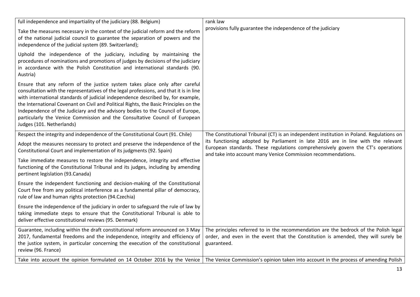| full independence and impartiality of the judiciary (88. Belgium)                                                                                                                                                                                                                                                                                                                                                                                                                                                                                 | rank law                                                                                                                                                                                                                              |
|---------------------------------------------------------------------------------------------------------------------------------------------------------------------------------------------------------------------------------------------------------------------------------------------------------------------------------------------------------------------------------------------------------------------------------------------------------------------------------------------------------------------------------------------------|---------------------------------------------------------------------------------------------------------------------------------------------------------------------------------------------------------------------------------------|
| Take the measures necessary in the context of the judicial reform and the reform<br>of the national judicial council to guarantee the separation of powers and the<br>independence of the judicial system (89. Switzerland);                                                                                                                                                                                                                                                                                                                      | provisions fully guarantee the independence of the judiciary                                                                                                                                                                          |
| Uphold the independence of the judiciary, including by maintaining the<br>procedures of nominations and promotions of judges by decisions of the judiciary<br>in accordance with the Polish Constitution and international standards (90.<br>Austria)                                                                                                                                                                                                                                                                                             |                                                                                                                                                                                                                                       |
| Ensure that any reform of the justice system takes place only after careful<br>consultation with the representatives of the legal professions, and that it is in line<br>with international standards of judicial independence described by, for example,<br>the International Covenant on Civil and Political Rights, the Basic Principles on the<br>Independence of the Judiciary and the advisory bodies to the Council of Europe,<br>particularly the Venice Commission and the Consultative Council of European<br>Judges (101. Netherlands) |                                                                                                                                                                                                                                       |
| Respect the integrity and independence of the Constitutional Court (91. Chile)                                                                                                                                                                                                                                                                                                                                                                                                                                                                    | The Constitutional Tribunal (CT) is an independent institution in Poland. Regulations on                                                                                                                                              |
| Adopt the measures necessary to protect and preserve the independence of the<br>Constitutional Court and implementation of its judgments (92. Spain)                                                                                                                                                                                                                                                                                                                                                                                              | its functioning adopted by Parliament in late 2016 are in line with the relevant<br>European standards. These regulations comprehensively govern the CT's operations<br>and take into account many Venice Commission recommendations. |
| Take immediate measures to restore the independence, integrity and effective<br>functioning of the Constitutional Tribunal and its judges, including by amending<br>pertinent legislation (93.Canada)                                                                                                                                                                                                                                                                                                                                             |                                                                                                                                                                                                                                       |
| Ensure the independent functioning and decision-making of the Constitutional<br>Court free from any political interference as a fundamental pillar of democracy,<br>rule of law and human rights protection (94.Czechia)                                                                                                                                                                                                                                                                                                                          |                                                                                                                                                                                                                                       |
| Ensure the independence of the judiciary in order to safeguard the rule of law by<br>taking immediate steps to ensure that the Constitutional Tribunal is able to<br>deliver effective constitutional reviews (95. Denmark)                                                                                                                                                                                                                                                                                                                       |                                                                                                                                                                                                                                       |
| Guarantee, including within the draft constitutional reform announced on 3 May<br>2017, fundamental freedoms and the independence, integrity and efficiency of<br>the justice system, in particular concerning the execution of the constitutional<br>review (96. France)                                                                                                                                                                                                                                                                         | The principles referred to in the recommendation are the bedrock of the Polish legal<br>order, and even in the event that the Constitution is amended, they will surely be<br>guaranteed.                                             |
| Take into account the opinion formulated on 14 October 2016 by the Venice                                                                                                                                                                                                                                                                                                                                                                                                                                                                         | The Venice Commission's opinion taken into account in the process of amending Polish                                                                                                                                                  |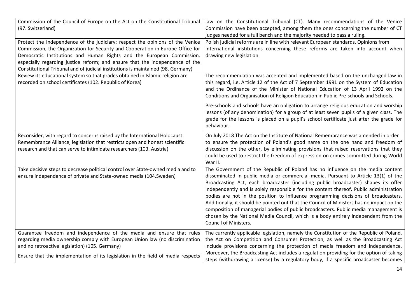| Commission of the Council of Europe on the Act on the Constitutional Tribunal<br>(97. Switzerland)                                                                                                                                                                                                                                                                                                           | law on the Constitutional Tribunal (CT). Many recommendations of the Venice<br>Commission have been accepted, among them the ones concerning the number of CT<br>judges needed for a full bench and the majority needed to pass a ruling.                                                                                                                                                                                                                                                                                                                                                                                                                                                                                                      |
|--------------------------------------------------------------------------------------------------------------------------------------------------------------------------------------------------------------------------------------------------------------------------------------------------------------------------------------------------------------------------------------------------------------|------------------------------------------------------------------------------------------------------------------------------------------------------------------------------------------------------------------------------------------------------------------------------------------------------------------------------------------------------------------------------------------------------------------------------------------------------------------------------------------------------------------------------------------------------------------------------------------------------------------------------------------------------------------------------------------------------------------------------------------------|
| Protect the independence of the judiciary; respect the opinions of the Venice<br>Commission, the Organization for Security and Cooperation in Europe Office for<br>Democratic Institutions and Human Rights and the European Commission,<br>especially regarding justice reform; and ensure that the independence of the<br>Constitutional Tribunal and of judicial institutions is maintained (98. Germany) | Polish judicial reforms are in line with relevant European standards. Opinions from<br>international institutions concerning these reforms are taken into account when<br>drawing new legislation.                                                                                                                                                                                                                                                                                                                                                                                                                                                                                                                                             |
| Review its educational system so that grades obtained in Islamic religion are<br>recorded on school certificates (102. Republic of Korea)                                                                                                                                                                                                                                                                    | The recommendation was accepted and implemented based on the unchanged law in<br>this regard, i.e. Article 12 of the Act of 7 September 1991 on the System of Education<br>and the Ordinance of the Minister of National Education of 13 April 1992 on the<br>Conditions and Organisation of Religion Education in Public Pre-schools and Schools.                                                                                                                                                                                                                                                                                                                                                                                             |
|                                                                                                                                                                                                                                                                                                                                                                                                              | Pre-schools and schools have an obligation to arrange religious education and worship<br>lessons (of any denomination) for a group of at least seven pupils of a given class. The<br>grade for the lessons is placed on a pupil's school certificate just after the grade for<br>behaviour.                                                                                                                                                                                                                                                                                                                                                                                                                                                    |
| Reconsider, with regard to concerns raised by the International Holocaust<br>Remembrance Alliance, legislation that restricts open and honest scientific<br>research and that can serve to intimidate researchers (103. Austria)                                                                                                                                                                             | On July 2018 The Act on the Institute of National Remembrance was amended in order<br>to ensure the protection of Poland's good name on the one hand and freedom of<br>discussion on the other, by eliminating provisions that raised reservations that they<br>could be used to restrict the freedom of expression on crimes committed during World<br>War II.                                                                                                                                                                                                                                                                                                                                                                                |
| Take decisive steps to decrease political control over State-owned media and to<br>ensure independence of private and State-owned media (104.Sweden)                                                                                                                                                                                                                                                         | The Government of the Republic of Poland has no influence on the media content<br>disseminated in public media or commercial media. Pursuant to Article 13(1) of the<br>Broadcasting Act, each broadcaster (including public broadcaster) shapes its offer<br>independently and is solely responsible for the content thereof. Public administration<br>bodies are not in the position to influence programming decisions of broadcasters.<br>Additionally, it should be pointed out that the Council of Ministers has no impact on the<br>composition of managerial bodies of public broadcasters. Public media management is<br>chosen by the National Media Council, which is a body entirely independent from the<br>Council of Ministers. |
| Guarantee freedom and independence of the media and ensure that rules<br>regarding media ownership comply with European Union law (no discrimination<br>and no retroactive legislation) (105. Germany)                                                                                                                                                                                                       | The currently applicable legislation, namely the Constitution of the Republic of Poland,<br>the Act on Competition and Consumer Protection, as well as the Broadcasting Act<br>include provisions concerning the protection of media freedom and independence.                                                                                                                                                                                                                                                                                                                                                                                                                                                                                 |
| Ensure that the implementation of its legislation in the field of media respects                                                                                                                                                                                                                                                                                                                             | Moreover, the Broadcasting Act includes a regulation providing for the option of taking<br>steps (withdrawing a license) by a regulatory body, if a specific broadcaster becomes                                                                                                                                                                                                                                                                                                                                                                                                                                                                                                                                                               |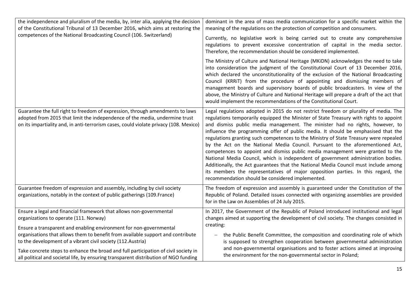| the independence and pluralism of the media, by, inter alia, applying the decision<br>of the Constitutional Tribunal of 13 December 2016, which aims at restoring the<br>competences of the National Broadcasting Council (106. Switzerland)          | dominant in the area of mass media communication for a specific market within the<br>meaning of the regulations on the protection of competition and consumers.                                                                                                                                                                                                                                                                                                                                                                                                                                                                                                                                                                                                                                                                                                                                                                     |
|-------------------------------------------------------------------------------------------------------------------------------------------------------------------------------------------------------------------------------------------------------|-------------------------------------------------------------------------------------------------------------------------------------------------------------------------------------------------------------------------------------------------------------------------------------------------------------------------------------------------------------------------------------------------------------------------------------------------------------------------------------------------------------------------------------------------------------------------------------------------------------------------------------------------------------------------------------------------------------------------------------------------------------------------------------------------------------------------------------------------------------------------------------------------------------------------------------|
|                                                                                                                                                                                                                                                       | Currently, no legislative work is being carried out to create any comprehensive<br>regulations to prevent excessive concentration of capital in the media sector.<br>Therefore, the recommendation should be considered implemented.                                                                                                                                                                                                                                                                                                                                                                                                                                                                                                                                                                                                                                                                                                |
|                                                                                                                                                                                                                                                       | The Ministry of Culture and National Heritage (MKiDN) acknowledges the need to take<br>into consideration the judgment of the Constitutional Court of 13 December 2016,<br>which declared the unconstitutionality of the exclusion of the National Broadcasting<br>Council (KRRiT) from the procedure of appointing and dismissing members of<br>management boards and supervisory boards of public broadcasters. In view of the<br>above, the Ministry of Culture and National Heritage will prepare a draft of the act that<br>would implement the recommendations of the Constitutional Court.                                                                                                                                                                                                                                                                                                                                   |
| Guarantee the full right to freedom of expression, through amendments to laws<br>adopted from 2015 that limit the independence of the media, undermine trust<br>on its impartiality and, in anti-terrorism cases, could violate privacy (108. Mexico) | Legal regulations adopted in 2015 do not restrict freedom or plurality of media. The<br>regulations temporarily equipped the Minister of State Treasury with rights to appoint<br>and dismiss public media management. The minister had no rights, however, to<br>influence the programming offer of public media. It should be emphasised that the<br>regulations granting such competences to the Ministry of State Treasury were repealed<br>by the Act on the National Media Council. Pursuant to the aforementioned Act,<br>competences to appoint and dismiss public media management were granted to the<br>National Media Council, which is independent of government administration bodies.<br>Additionally, the Act guarantees that the National Media Council must include among<br>its members the representatives of major opposition parties. In this regard, the<br>recommendation should be considered implemented. |
| Guarantee freedom of expression and assembly, including by civil society<br>organizations, notably in the context of public gatherings (109.France)                                                                                                   | The freedom of expression and assembly is guaranteed under the Constitution of the<br>Republic of Poland. Detailed issues connected with organizing assemblies are provided<br>for in the Law on Assemblies of 24 July 2015.                                                                                                                                                                                                                                                                                                                                                                                                                                                                                                                                                                                                                                                                                                        |
| Ensure a legal and financial framework that allows non-governmental<br>organizations to operate (111. Norway)                                                                                                                                         | In 2017, the Government of the Republic of Poland introduced institutional and legal<br>changes aimed at supporting the development of civil society. The changes consisted in<br>creating:                                                                                                                                                                                                                                                                                                                                                                                                                                                                                                                                                                                                                                                                                                                                         |
| Ensure a transparent and enabling environment for non-governmental<br>organisations that allows them to benefit from available support and contribute<br>to the development of a vibrant civil society (112.Austria)                                  | the Public Benefit Committee, the composition and coordinating role of which<br>is supposed to strengthen cooperation between governmental administration                                                                                                                                                                                                                                                                                                                                                                                                                                                                                                                                                                                                                                                                                                                                                                           |
| Take concrete steps to enhance the broad and full participation of civil society in<br>all political and societal life, by ensuring transparent distribution of NGO funding                                                                           | and non-governmental organisations and to foster actions aimed at improving<br>the environment for the non-governmental sector in Poland;                                                                                                                                                                                                                                                                                                                                                                                                                                                                                                                                                                                                                                                                                                                                                                                           |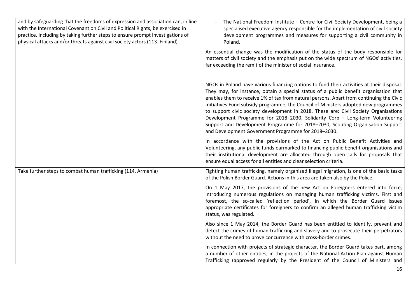| and by safeguarding that the freedoms of expression and association can, in line<br>with the International Covenant on Civil and Political Rights, be exercised in<br>practice, including by taking further steps to ensure prompt investigations of<br>physical attacks and/or threats against civil society actors (113. Finland) | The National Freedom Institute - Centre for Civil Society Development, being a<br>specialised executive agency responsible for the implementation of civil society<br>development programmes and measures for supporting a civil community in<br>Poland.                                                                                                                                                                                                                                                                                                                                                                                                                               |
|-------------------------------------------------------------------------------------------------------------------------------------------------------------------------------------------------------------------------------------------------------------------------------------------------------------------------------------|----------------------------------------------------------------------------------------------------------------------------------------------------------------------------------------------------------------------------------------------------------------------------------------------------------------------------------------------------------------------------------------------------------------------------------------------------------------------------------------------------------------------------------------------------------------------------------------------------------------------------------------------------------------------------------------|
|                                                                                                                                                                                                                                                                                                                                     | An essential change was the modification of the status of the body responsible for<br>matters of civil society and the emphasis put on the wide spectrum of NGOs' activities,<br>far exceeding the remit of the minister of social insurance.                                                                                                                                                                                                                                                                                                                                                                                                                                          |
|                                                                                                                                                                                                                                                                                                                                     | NGOs in Poland have various financing options to fund their activities at their disposal.<br>They may, for instance, obtain a special status of a public benefit organisation that<br>enables them to receive 1% of tax from natural persons. Apart from continuing the Civic<br>Initiatives Fund subsidy programme, the Council of Ministers adopted new programmes<br>to support civic society development in 2018. These are: Civil Society Organisations<br>Development Programme for 2018-2030, Solidarity Corp - Long-term Volunteering<br>Support and Development Programme for 2018-2030, Scouting Organisation Support<br>and Development Government Programme for 2018-2030. |
|                                                                                                                                                                                                                                                                                                                                     | In accordance with the provisions of the Act on Public Benefit Activities and<br>Volunteering, any public funds earmarked to financing public benefit organisations and<br>their institutional development are allocated through open calls for proposals that<br>ensure equal access for all entities and clear selection criteria.                                                                                                                                                                                                                                                                                                                                                   |
| Take further steps to combat human trafficking (114. Armenia)                                                                                                                                                                                                                                                                       | Fighting human trafficking, namely organised illegal migration, is one of the basic tasks<br>of the Polish Border Guard. Actions in this area are taken also by the Police.                                                                                                                                                                                                                                                                                                                                                                                                                                                                                                            |
|                                                                                                                                                                                                                                                                                                                                     | On 1 May 2017, the provisions of the new Act on Foreigners entered into force,<br>introducing numerous regulations on managing human trafficking victims. First and<br>foremost, the so-called 'reflection period', in which the Border Guard issues<br>appropriate certificates for foreigners to confirm an alleged human trafficking victim<br>status, was regulated.                                                                                                                                                                                                                                                                                                               |
|                                                                                                                                                                                                                                                                                                                                     | Also since 1 May 2014, the Border Guard has been entitled to identify, prevent and<br>detect the crimes of human trafficking and slavery and to prosecute their perpetrators<br>without the need to prove concurrence with cross-border crimes.                                                                                                                                                                                                                                                                                                                                                                                                                                        |
|                                                                                                                                                                                                                                                                                                                                     | In connection with projects of strategic character, the Border Guard takes part, among<br>a number of other entities, in the projects of the National Action Plan against Human<br>Trafficking (approved regularly by the President of the Council of Ministers and                                                                                                                                                                                                                                                                                                                                                                                                                    |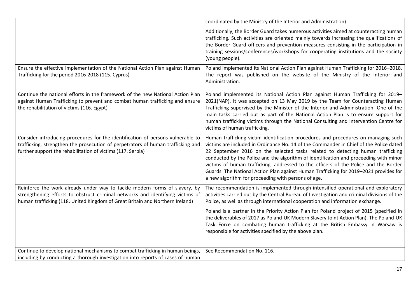|                                                                                                                                                                                                                                               | coordinated by the Ministry of the Interior and Administration).                                                                                                                                                                                                                                                                                                                                                                                                                                                                                                                                |
|-----------------------------------------------------------------------------------------------------------------------------------------------------------------------------------------------------------------------------------------------|-------------------------------------------------------------------------------------------------------------------------------------------------------------------------------------------------------------------------------------------------------------------------------------------------------------------------------------------------------------------------------------------------------------------------------------------------------------------------------------------------------------------------------------------------------------------------------------------------|
|                                                                                                                                                                                                                                               | Additionally, the Border Guard takes numerous activities aimed at counteracting human<br>trafficking. Such activities are oriented mainly towards increasing the qualifications of<br>the Border Guard officers and prevention measures consisting in the participation in<br>training sessions/conferences/workshops for cooperating institutions and the society<br>(young people).                                                                                                                                                                                                           |
| Ensure the effective implementation of the National Action Plan against Human<br>Trafficking for the period 2016-2018 (115. Cyprus)                                                                                                           | Poland implemented its National Action Plan against Human Trafficking for 2016-2018.<br>The report was published on the website of the Ministry of the Interior and<br>Administration.                                                                                                                                                                                                                                                                                                                                                                                                          |
| Continue the national efforts in the framework of the new National Action Plan<br>against Human Trafficking to prevent and combat human trafficking and ensure<br>the rehabilitation of victims (116. Egypt)                                  | Poland implemented its National Action Plan against Human Trafficking for 2019-<br>2021(NAP). It was accepted on 13 May 2019 by the Team for Counteracting Human<br>Trafficking supervised by the Minister of the Interior and Administration. One of the<br>main tasks carried out as part of the National Action Plan is to ensure support for<br>human trafficking victims through the National Consulting and Intervention Centre for<br>victims of human trafficking.                                                                                                                      |
| Consider introducing procedures for the identification of persons vulnerable to<br>trafficking, strengthen the prosecution of perpetrators of human trafficking and<br>further support the rehabilitation of victims (117. Serbia)            | Human trafficking victim identification procedures and procedures on managing such<br>victims are included in Ordinance No. 14 of the Commander in Chief of the Police dated<br>22 September 2016 on the selected tasks related to detecting human trafficking<br>conducted by the Police and the algorithm of identification and proceeding with minor<br>victims of human trafficking, addressed to the officers of the Police and the Border<br>Guards. The National Action Plan against Human Trafficking for 2019-2021 provides for<br>a new algorithm for proceeding with persons of age. |
| Reinforce the work already under way to tackle modern forms of slavery, by<br>strengthening efforts to obstruct criminal networks and identifying victims of<br>human trafficking (118. United Kingdom of Great Britain and Northern Ireland) | The recommendation is implemented through intensified operational and exploratory<br>activities carried out by the Central Bureau of Investigation and criminal divisions of the<br>Police, as well as through international cooperation and information exchange.                                                                                                                                                                                                                                                                                                                              |
|                                                                                                                                                                                                                                               | Poland is a partner in the Priority Action Plan for Poland project of 2015 (specified in<br>the deliverables of 2017 as Poland-UK Modern Slavery Joint Action Plan). The Poland-UK<br>Task Force on combating human trafficking at the British Embassy in Warsaw is<br>responsible for activities specified by the above plan.                                                                                                                                                                                                                                                                  |
| Continue to develop national mechanisms to combat trafficking in human beings,<br>including by conducting a thorough investigation into reports of cases of human                                                                             | See Recommendation No. 116.                                                                                                                                                                                                                                                                                                                                                                                                                                                                                                                                                                     |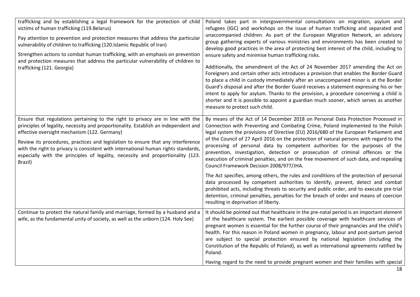| trafficking and by establishing a legal framework for the protection of child<br>victims of human trafficking (119. Belarus)<br>Pay attention to prevention and protection measures that address the particular<br>vulnerability of children to trafficking (120. Islamic Republic of Iran)<br>Strengthen actions to combat human trafficking, with an emphasis on prevention<br>and protection measures that address the particular vulnerability of children to<br>trafficking (121. Georgia) | Poland takes part in intergovernmental consultations on migration, asylum and<br>refugees (IGC) and workshops on the issue of human trafficking and separated and<br>unaccompanied children. As part of the European Migration Network, an advisory<br>group gathering experts of various ministries and environments has been created to<br>develop good practices in the area of protecting best interest of the child, including to<br>ensure safety and minimise human trafficking risks.<br>Additionally, the amendment of the Act of 24 November 2017 amending the Act on<br>Foreigners and certain other acts introduces a provision that enables the Border Guard<br>to place a child in custody immediately after an unaccompanied minor is at the Border<br>Guard's disposal and after the Border Guard receives a statement expressing his or her<br>intent to apply for asylum. Thanks to the provision, a procedure concerning a child is<br>shorter and it is possible to appoint a guardian much sooner, which serves as another<br>measure to protect such child. |
|-------------------------------------------------------------------------------------------------------------------------------------------------------------------------------------------------------------------------------------------------------------------------------------------------------------------------------------------------------------------------------------------------------------------------------------------------------------------------------------------------|-----------------------------------------------------------------------------------------------------------------------------------------------------------------------------------------------------------------------------------------------------------------------------------------------------------------------------------------------------------------------------------------------------------------------------------------------------------------------------------------------------------------------------------------------------------------------------------------------------------------------------------------------------------------------------------------------------------------------------------------------------------------------------------------------------------------------------------------------------------------------------------------------------------------------------------------------------------------------------------------------------------------------------------------------------------------------------------|
| Ensure that regulations pertaining to the right to privacy are in line with the<br>principles of legality, necessity and proportionality. Establish an independent and<br>effective oversight mechanism (122. Germany)<br>Review its procedures, practices and legislation to ensure that any interference<br>with the right to privacy is consistent with international human rights standards,<br>especially with the principles of legality, necessity and proportionality (123.<br>Brazil)  | By means of the Act of 14 December 2018 on Personal Data Protection Processed in<br>Connection with Preventing and Combating Crime, Poland implemented to the Polish<br>legal system the provisions of Directive (EU) 2016/680 of the European Parliament and<br>of the Council of 27 April 2016 on the protection of natural persons with regard to the<br>processing of personal data by competent authorities for the purposes of the<br>prevention, investigation, detection or prosecution of criminal offences or the<br>execution of criminal penalties, and on the free movement of such data, and repealing<br>Council Framework Decision 2008/977/JHA.<br>The Act specifies, among others, the rules and conditions of the protection of personal<br>data processed by competent authorities to identify, prevent, detect and combat                                                                                                                                                                                                                                    |
|                                                                                                                                                                                                                                                                                                                                                                                                                                                                                                 | prohibited acts, including threats to security and public order, and to execute pre-trial<br>detention, criminal penalties, penalties for the breach of order and means of coercion<br>resulting in deprivation of liberty.                                                                                                                                                                                                                                                                                                                                                                                                                                                                                                                                                                                                                                                                                                                                                                                                                                                       |
| Continue to protect the natural family and marriage, formed by a husband and a<br>wife, as the fundamental unity of society, as well as the unborn (124. Holy See)                                                                                                                                                                                                                                                                                                                              | It should be pointed out that healthcare in the pre-natal period is an important element<br>of the healthcare system. The earliest possible coverage with healthcare services of<br>pregnant women is essential for the further course of their pregnancies and the child's<br>health. For this reason in Poland women in pregnancy, labour and post-partum period<br>are subject to special protection ensured by national legislation (including the<br>Constitution of the Republic of Poland), as well as international agreements ratified by<br>Poland.<br>Having regard to the need to provide pregnant women and their families with special                                                                                                                                                                                                                                                                                                                                                                                                                              |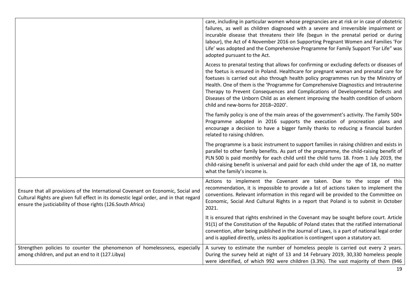|                                                                                                                                                                                                                                           | care, including in particular women whose pregnancies are at risk or in case of obstetric<br>failures, as well as children diagnosed with a severe and irreversible impairment or<br>incurable disease that threatens their life (begun in the prenatal period or during<br>labour), the Act of 4 November 2016 on Supporting Pregnant Women and Families 'For<br>Life' was adopted and the Comprehensive Programme for Family Support 'For Life" was<br>adopted pursuant to the Act.                                                                                             |
|-------------------------------------------------------------------------------------------------------------------------------------------------------------------------------------------------------------------------------------------|-----------------------------------------------------------------------------------------------------------------------------------------------------------------------------------------------------------------------------------------------------------------------------------------------------------------------------------------------------------------------------------------------------------------------------------------------------------------------------------------------------------------------------------------------------------------------------------|
|                                                                                                                                                                                                                                           | Access to prenatal testing that allows for confirming or excluding defects or diseases of<br>the foetus is ensured in Poland. Healthcare for pregnant woman and prenatal care for<br>foetuses is carried out also through health policy programmes run by the Ministry of<br>Health. One of them is the 'Programme for Comprehensive Diagnostics and Intrauterine<br>Therapy to Prevent Consequences and Complications of Developmental Defects and<br>Diseases of the Unborn Child as an element improving the health condition of unborn<br>child and new-borns for 2018-2020'. |
|                                                                                                                                                                                                                                           | The family policy is one of the main areas of the government's activity. The Family 500+<br>Programme adopted in 2016 supports the execution of procreation plans and<br>encourage a decision to have a bigger family thanks to reducing a financial burden<br>related to raising children.                                                                                                                                                                                                                                                                                       |
|                                                                                                                                                                                                                                           | The programme is a basic instrument to support families in raising children and exists in<br>parallel to other family benefits. As part of the programme, the child-raising benefit of<br>PLN 500 is paid monthly for each child until the child turns 18. From 1 July 2019, the<br>child-raising benefit is universal and paid for each child under the age of 18, no matter<br>what the family's income is.                                                                                                                                                                     |
| Ensure that all provisions of the International Covenant on Economic, Social and<br>Cultural Rights are given full effect in its domestic legal order, and in that regard<br>ensure the justiciability of those rights (126.South Africa) | Actions to implement the Covenant are taken. Due to the scope of this<br>recommendation, it is impossible to provide a list of actions taken to implement the<br>conventions. Relevant information in this regard will be provided to the Committee on<br>Economic, Social And Cultural Rights in a report that Poland is to submit in October<br>2021.                                                                                                                                                                                                                           |
|                                                                                                                                                                                                                                           | It is ensured that rights enshrined in the Covenant may be sought before court. Article<br>91(1) of the Constitution of the Republic of Poland states that the ratified international<br>convention, after being published in the Journal of Laws, is a part of national legal order<br>and is applied directly, unless its application is contingent upon a statutory act.                                                                                                                                                                                                       |
| Strengthen policies to counter the phenomenon of homelessness, especially<br>among children, and put an end to it (127.Libya)                                                                                                             | A survey to estimate the number of homeless people is carried out every 2 years.<br>During the survey held at night of 13 and 14 February 2019, 30,330 homeless people<br>were identified, of which 992 were children (3.3%). The vast majority of them (946                                                                                                                                                                                                                                                                                                                      |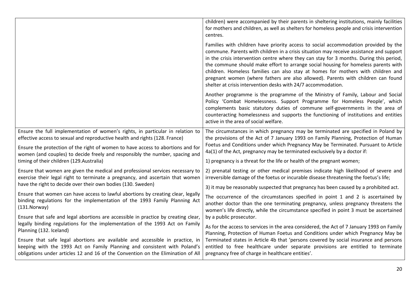|                                                                                    | children) were accompanied by their parents in sheltering institutions, mainly facilities<br>for mothers and children, as well as shelters for homeless people and crisis intervention<br>centres.                                                                                                                                                                                                                                                                                                                                                                                                       |
|------------------------------------------------------------------------------------|----------------------------------------------------------------------------------------------------------------------------------------------------------------------------------------------------------------------------------------------------------------------------------------------------------------------------------------------------------------------------------------------------------------------------------------------------------------------------------------------------------------------------------------------------------------------------------------------------------|
|                                                                                    | Families with children have priority access to social accommodation provided by the<br>commune. Parents with children in a crisis situation may receive assistance and support<br>in the crisis intervention centre where they can stay for 3 months. During this period,<br>the commune should make effort to arrange social housing for homeless parents with<br>children. Homeless families can also stay at homes for mothers with children and<br>pregnant women (where fathers are also allowed). Parents with children can found<br>shelter at crisis intervention desks with 24/7 accommodation. |
|                                                                                    | Another programme is the programme of the Ministry of Family, Labour and Social<br>Policy 'Combat Homelessness. Support Programme for Homeless People', which<br>complements basic statutory duties of commune self-governments in the area of<br>counteracting homelessness and supports the functioning of institutions and entities<br>active in the area of social welfare.                                                                                                                                                                                                                          |
| Ensure the full implementation of women's rights, in particular in relation to     | The circumstances in which pregnancy may be terminated are specified in Poland by                                                                                                                                                                                                                                                                                                                                                                                                                                                                                                                        |
| effective access to sexual and reproductive health and rights (128. France)        | the provisions of the Act of 7 January 1993 on Family Planning, Protection of Human                                                                                                                                                                                                                                                                                                                                                                                                                                                                                                                      |
| Ensure the protection of the right of women to have access to abortions and for    | Foetus and Conditions under which Pregnancy May be Terminated. Pursuant to Article                                                                                                                                                                                                                                                                                                                                                                                                                                                                                                                       |
| women (and couples) to decide freely and responsibly the number, spacing and       | 4a(1) of the Act, pregnancy may be terminated exclusively by a doctor if:                                                                                                                                                                                                                                                                                                                                                                                                                                                                                                                                |
| timing of their children (129. Australia)                                          | 1) pregnancy is a threat for the life or health of the pregnant women;                                                                                                                                                                                                                                                                                                                                                                                                                                                                                                                                   |
| Ensure that women are given the medical and professional services necessary to     | 2) prenatal testing or other medical premises indicate high likelihood of severe and                                                                                                                                                                                                                                                                                                                                                                                                                                                                                                                     |
| exercise their legal right to terminate a pregnancy, and ascertain that women      | irreversible damage of the foetus or incurable disease threatening the foetus's life;                                                                                                                                                                                                                                                                                                                                                                                                                                                                                                                    |
| have the right to decide over their own bodies (130. Sweden)                       | 3) it may be reasonably suspected that pregnancy has been caused by a prohibited act.                                                                                                                                                                                                                                                                                                                                                                                                                                                                                                                    |
| Ensure that women can have access to lawful abortions by creating clear, legally   | The occurrence of the circumstances specified in point 1 and 2 is ascertained by                                                                                                                                                                                                                                                                                                                                                                                                                                                                                                                         |
| binding regulations for the implementation of the 1993 Family Planning Act         | another doctor than the one terminating pregnancy, unless pregnancy threatens the                                                                                                                                                                                                                                                                                                                                                                                                                                                                                                                        |
| $(131.$ Norway $)$                                                                 | women's life directly, while the circumstance specified in point 3 must be ascertained                                                                                                                                                                                                                                                                                                                                                                                                                                                                                                                   |
| Ensure that safe and legal abortions are accessible in practice by creating clear, | by a public prosecutor.                                                                                                                                                                                                                                                                                                                                                                                                                                                                                                                                                                                  |
| legally binding regulations for the implementation of the 1993 Act on Family       | As for the access to services in the area considered, the Act of 7 January 1993 on Family                                                                                                                                                                                                                                                                                                                                                                                                                                                                                                                |
| Planning (132. Iceland)                                                            | Planning, Protection of Human Foetus and Conditions under which Pregnancy May be                                                                                                                                                                                                                                                                                                                                                                                                                                                                                                                         |
| Ensure that safe legal abortions are available and accessible in practice, in      | Terminated states in Article 4b that 'persons covered by social insurance and persons                                                                                                                                                                                                                                                                                                                                                                                                                                                                                                                    |
| keeping with the 1993 Act on Family Planning and consistent with Poland's          | entitled to free healthcare under separate provisions are entitled to terminate                                                                                                                                                                                                                                                                                                                                                                                                                                                                                                                          |
| obligations under articles 12 and 16 of the Convention on the Elimination of All   | pregnancy free of charge in healthcare entities'.                                                                                                                                                                                                                                                                                                                                                                                                                                                                                                                                                        |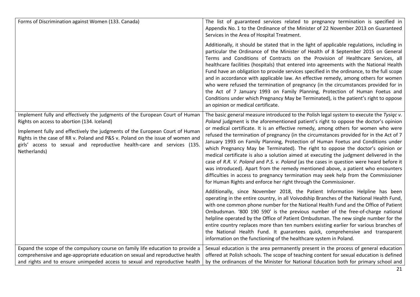| Forms of Discrimination against Women (133. Canada)                                                                                                                                                                                                                                                                                                                                      | The list of guaranteed services related to pregnancy termination is specified in<br>Appendix No. 1 to the Ordinance of the Minister of 22 November 2013 on Guaranteed<br>Services in the Area of Hospital Treatment.<br>Additionally, it should be stated that in the light of applicable regulations, including in<br>particular the Ordinance of the Minister of Health of 8 September 2015 on General<br>Terms and Conditions of Contracts on the Provision of Healthcare Services, all<br>healthcare facilities (hospitals) that entered into agreements with the National Health<br>Fund have an obligation to provide services specified in the ordinance, to the full scope<br>and in accordance with applicable law. An effective remedy, among others for women<br>who were refused the termination of pregnancy (in the circumstances provided for in<br>the Act of 7 January 1993 on Family Planning, Protection of Human Foetus and<br>Conditions under which Pregnancy May be Terminated), is the patient's right to oppose<br>an opinion or medical certificate.                                                                                                                                                                                                                                                                                                                                                                                                                                                                                                                                                                                             |
|------------------------------------------------------------------------------------------------------------------------------------------------------------------------------------------------------------------------------------------------------------------------------------------------------------------------------------------------------------------------------------------|----------------------------------------------------------------------------------------------------------------------------------------------------------------------------------------------------------------------------------------------------------------------------------------------------------------------------------------------------------------------------------------------------------------------------------------------------------------------------------------------------------------------------------------------------------------------------------------------------------------------------------------------------------------------------------------------------------------------------------------------------------------------------------------------------------------------------------------------------------------------------------------------------------------------------------------------------------------------------------------------------------------------------------------------------------------------------------------------------------------------------------------------------------------------------------------------------------------------------------------------------------------------------------------------------------------------------------------------------------------------------------------------------------------------------------------------------------------------------------------------------------------------------------------------------------------------------------------------------------------------------------------------------------------------------|
| Implement fully and effectively the judgments of the European Court of Human<br>Rights on access to abortion (134. Iceland)<br>Implement fully and effectively the judgments of the European Court of Human<br>Rights in the case of RR v. Poland and P&S v. Poland on the issue of women and<br>girls' access to sexual and reproductive health-care and services (135.<br>Netherlands) | The basic general measure introduced to the Polish legal system to execute the Tysigc v.<br>Poland judgment is the aforementioned patient's right to oppose the doctor's opinion<br>or medical certificate. It is an effective remedy, among others for women who were<br>refused the termination of pregnancy (in the circumstances provided for in the Act of 7<br>January 1993 on Family Planning, Protection of Human Foetus and Conditions under<br>which Pregnancy May be Terminated). The right to oppose the doctor's opinion or<br>medical certificate is also a solution aimed at executing the judgment delivered in the<br>case of R.R. V. Poland and P.S. v. Poland (as the cases in question were heard before it<br>was introduced). Apart from the remedy mentioned above, a patient who encounters<br>difficulties in access to pregnancy termination may seek help from the Commissioner<br>for Human Rights and enforce her right through the Commissioner.<br>Additionally, since November 2018, the Patient Information Helpline has been<br>operating in the entire country, in all Voivodship Branches of the National Health Fund,<br>with one common phone number for the National Health Fund and the Office of Patient<br>Ombudsman. '800 190 590' is the previous number of the free-of-charge national<br>helpline operated by the Office of Patient Ombudsman. The new single number for the<br>entire country replaces more than ten numbers existing earlier for various branches of<br>the National Health Fund. It guarantees quick, comprehensive and transparent<br>information on the functioning of the healthcare system in Poland. |
| Expand the scope of the compulsory course on family life education to provide a<br>comprehensive and age-appropriate education on sexual and reproductive health<br>and rights and to ensure unimpeded access to sexual and reproductive health                                                                                                                                          | Sexual education is the area permanently present in the process of general education<br>offered at Polish schools. The scope of teaching content for sexual education is defined<br>by the ordinances of the Minister for National Education both for primary school and                                                                                                                                                                                                                                                                                                                                                                                                                                                                                                                                                                                                                                                                                                                                                                                                                                                                                                                                                                                                                                                                                                                                                                                                                                                                                                                                                                                                   |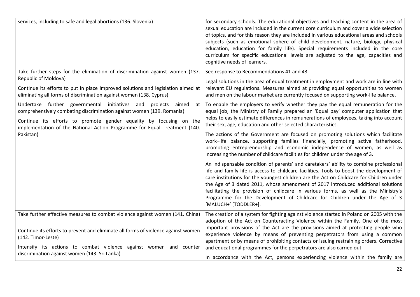| services, including to safe and legal abortions (136. Slovenia)                                                                                         | for secondary schools. The educational objectives and teaching content in the area of<br>sexual education are included in the current core curriculum and cover a wide selection<br>of topics, and for this reason they are included in various educational areas and schools<br>subjects (such as emotional sphere of child development, nature, biology, physical<br>education, education for family life). Special requirements included in the core<br>curriculum for specific educational levels are adjusted to the age, capacities and<br>cognitive needs of learners. |
|---------------------------------------------------------------------------------------------------------------------------------------------------------|-------------------------------------------------------------------------------------------------------------------------------------------------------------------------------------------------------------------------------------------------------------------------------------------------------------------------------------------------------------------------------------------------------------------------------------------------------------------------------------------------------------------------------------------------------------------------------|
| Take further steps for the elimination of discrimination against women (137.<br><b>Republic of Moldova)</b>                                             | See response to Recommendations 41 and 43.                                                                                                                                                                                                                                                                                                                                                                                                                                                                                                                                    |
| Continue its efforts to put in place improved solutions and legislation aimed at<br>eliminating all forms of discrimination against women (138. Cyprus) | Legal solutions in the area of equal treatment in employment and work are in line with<br>relevant EU regulations. Measures aimed at providing equal opportunities to women<br>and men on the labour market are currently focused on supporting work-life balance.                                                                                                                                                                                                                                                                                                            |
| Undertake further governmental initiatives and<br>projects<br>aimed<br>at<br>comprehensively combating discrimination against women (139. Romania)      | To enable the employers to verify whether they pay the equal remuneration for the<br>equal job, the Ministry of Family prepared an 'Equal pay' computer application that                                                                                                                                                                                                                                                                                                                                                                                                      |
| Continue its efforts to promote gender equality by focusing on the<br>implementation of the National Action Programme for Equal Treatment (140.         | helps to easily estimate differences in remunerations of employees, taking into account<br>their sex, age, education and other selected characteristics.                                                                                                                                                                                                                                                                                                                                                                                                                      |
| Pakistan)                                                                                                                                               | The actions of the Government are focused on promoting solutions which facilitate<br>work-life balance, supporting families financially, promoting active fatherhood,<br>promoting entrepreneurship and economic independence of women, as well as<br>increasing the number of childcare facilities for children under the age of 3.                                                                                                                                                                                                                                          |
|                                                                                                                                                         | An indispensable condition of parents' and caretakers' ability to combine professional<br>life and family life is access to childcare facilities. Tools to boost the development of<br>care institutions for the youngest children are the Act on Childcare for Children under<br>the Age of 3 dated 2011, whose amendment of 2017 introduced additional solutions<br>facilitating the provision of childcare in various forms, as well as the Ministry's<br>Programme for the Development of Childcare for Children under the Age of 3<br>'MALUCH+' [TODDLER+].              |
| Take further effective measures to combat violence against women (141. China)                                                                           | The creation of a system for fighting against violence started in Poland on 2005 with the<br>adoption of the Act on Counteracting Violence within the Family. One of the most                                                                                                                                                                                                                                                                                                                                                                                                 |
| Continue its efforts to prevent and eliminate all forms of violence against women<br>(142. Timor-Leste)                                                 | important provisions of the Act are the provisions aimed at protecting people who<br>experience violence by means of preventing perpetrators from using a common<br>apartment or by means of prohibiting contacts or issuing restraining orders. Corrective                                                                                                                                                                                                                                                                                                                   |
| Intensify its actions to combat violence against women and counter<br>discrimination against women (143. Sri Lanka)                                     | and educational programmes for the perpetrators are also carried out.                                                                                                                                                                                                                                                                                                                                                                                                                                                                                                         |
|                                                                                                                                                         | In accordance with the Act, persons experiencing violence within the family are                                                                                                                                                                                                                                                                                                                                                                                                                                                                                               |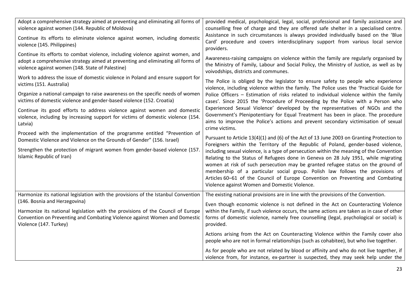| Adopt a comprehensive strategy aimed at preventing and eliminating all forms of<br>violence against women (144. Republic of Moldova)<br>Continue its efforts to eliminate violence against women, including domestic<br>violence (145. Philippines)<br>Continue its efforts to combat violence, including violence against women, and<br>adopt a comprehensive strategy aimed at preventing and eliminating all forms of<br>violence against women (148. State of Palestine)<br>Work to address the issue of domestic violence in Poland and ensure support for<br>victims (151. Australia)<br>Organize a national campaign to raise awareness on the specific needs of women<br>victims of domestic violence and gender-based violence (152. Croatia)<br>Continue its good efforts to address violence against women and domestic<br>violence, including by increasing support for victims of domestic violence (154.<br>Latvia)<br>Proceed with the implementation of the programme entitled "Prevention of<br>Domestic Violence and Violence on the Grounds of Gender" (156. Israel)<br>Strengthen the protection of migrant women from gender-based violence (157.<br>Islamic Republic of Iran) | provided medical, psychological, legal, social, professional and family assistance and<br>counselling free of charge and they are offered safe shelter in a specialised centre.<br>Assistance in such circumstances is always provided individually based on the 'Blue<br>Card' procedure and covers interdisciplinary support from various local service<br>providers.<br>Awareness-raising campaigns on violence within the family are regularly organised by<br>the Ministry of Family, Labour and Social Policy, the Ministry of Justice, as well as by<br>voivodships, districts and communes.<br>The Police is obliged by the legislator to ensure safety to people who experience<br>violence, including violence within the family. The Police uses the 'Practical Guide for<br>Police Officers - Estimation of risks related to individual violence within the family<br>cases'. Since 2015 the 'Procedure of Proceeding by the Police with a Person who<br>Experienced Sexual Violence' developed by the representatives of NGOs and the<br>Government's Plenipotentiary for Equal Treatment has been in place. The procedure<br>aims to improve the Police's actions and prevent secondary victimisation of sexual<br>crime victims.<br>Pursuant to Article 13(4)(1) and (6) of the Act of 13 June 2003 on Granting Protection to<br>Foreigners within the Territory of the Republic of Poland, gender-based violence,<br>including sexual violence, is a type of persecution within the meaning of the Convention<br>Relating to the Status of Refugees done in Geneva on 28 July 1951, while migrating<br>women at risk of such persecution may be granted refugee status on the ground of<br>membership of a particular social group. Polish law follows the provisions of<br>Articles 60-61 of the Council of Europe Convention on Preventing and Combating<br>Violence against Women and Domestic Violence. |
|-----------------------------------------------------------------------------------------------------------------------------------------------------------------------------------------------------------------------------------------------------------------------------------------------------------------------------------------------------------------------------------------------------------------------------------------------------------------------------------------------------------------------------------------------------------------------------------------------------------------------------------------------------------------------------------------------------------------------------------------------------------------------------------------------------------------------------------------------------------------------------------------------------------------------------------------------------------------------------------------------------------------------------------------------------------------------------------------------------------------------------------------------------------------------------------------------------|-----------------------------------------------------------------------------------------------------------------------------------------------------------------------------------------------------------------------------------------------------------------------------------------------------------------------------------------------------------------------------------------------------------------------------------------------------------------------------------------------------------------------------------------------------------------------------------------------------------------------------------------------------------------------------------------------------------------------------------------------------------------------------------------------------------------------------------------------------------------------------------------------------------------------------------------------------------------------------------------------------------------------------------------------------------------------------------------------------------------------------------------------------------------------------------------------------------------------------------------------------------------------------------------------------------------------------------------------------------------------------------------------------------------------------------------------------------------------------------------------------------------------------------------------------------------------------------------------------------------------------------------------------------------------------------------------------------------------------------------------------------------------------------------------------------------------------------------------------------------------------------------------------------------------------|
| Harmonize its national legislation with the provisions of the Istanbul Convention<br>(146. Bosnia and Herzegovina)<br>Harmonize its national legislation with the provisions of the Council of Europe<br>Convention on Preventing and Combating Violence against Women and Domestic<br>Violence (147. Turkey)                                                                                                                                                                                                                                                                                                                                                                                                                                                                                                                                                                                                                                                                                                                                                                                                                                                                                       | The existing national provisions are in line with the provisions of the Convention.<br>Even though economic violence is not defined in the Act on Counteracting Violence<br>within the Family, if such violence occurs, the same actions are taken as in case of other<br>forms of domestic violence, namely free counselling (legal, psychological or social) is<br>provided.<br>Actions arising from the Act on Counteracting Violence within the Family cover also<br>people who are not in formal relationships (such as cohabitee), but who live together.<br>As for people who are not related by blood or affinity and who do not live together, if<br>violence from, for instance, ex-partner is suspected, they may seek help under the                                                                                                                                                                                                                                                                                                                                                                                                                                                                                                                                                                                                                                                                                                                                                                                                                                                                                                                                                                                                                                                                                                                                                                            |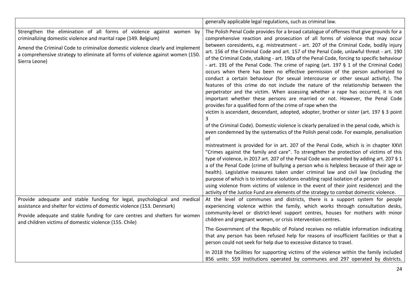|                                                                                                                                                                                                                                                                                                                               | generally applicable legal regulations, such as criminal law.                                                                                                                                                                                                                                                                                                                                                                                                                                                                                                                                                                                                                                                                                                                                                                                                                                                                                                                                                                                                                                                                                                                                                                                                                                                                                  |
|-------------------------------------------------------------------------------------------------------------------------------------------------------------------------------------------------------------------------------------------------------------------------------------------------------------------------------|------------------------------------------------------------------------------------------------------------------------------------------------------------------------------------------------------------------------------------------------------------------------------------------------------------------------------------------------------------------------------------------------------------------------------------------------------------------------------------------------------------------------------------------------------------------------------------------------------------------------------------------------------------------------------------------------------------------------------------------------------------------------------------------------------------------------------------------------------------------------------------------------------------------------------------------------------------------------------------------------------------------------------------------------------------------------------------------------------------------------------------------------------------------------------------------------------------------------------------------------------------------------------------------------------------------------------------------------|
| Strengthen the elimination of all forms of violence against women by<br>criminalizing domestic violence and marital rape (149. Belgium)<br>Amend the Criminal Code to criminalize domestic violence clearly and implement<br>a comprehensive strategy to eliminate all forms of violence against women (150.<br>Sierra Leone) | The Polish Penal Code provides for a broad catalogue of offenses that give grounds for a<br>comprehensive reaction and prosecution of all forms of violence that may occur<br>between coresidents, e.g. mistreatment - art. 207 of the Criminal Code, bodily injury<br>art. 156 of the Criminal Code and art. 157 of the Penal Code, unlawful threat - art. 190<br>of the Criminal Code, stalking - art. 190a of the Penal Code, forcing to specific behaviour<br>- art. 191 of the Penal Code. The crime of raping (art. 197 § 1 of the Criminal Code)<br>occurs when there has been no effective permission of the person authorized to<br>conduct a certain behaviour (for sexual intercourse or other sexual activity). The<br>features of this crime do not include the nature of the relationship between the<br>perpetrator and the victim. When assessing whether a rape has occurred, it is not<br>important whether these persons are married or not. However, the Penal Code<br>provides for a qualified form of the crime of rape when the<br>victim is ascendant, descendant, adopted, adopter, brother or sister (art. 197 § 3 point<br>of the Criminal Code). Domestic violence is clearly penalized in the penal code, which is<br>even condemned by the systematics of the Polish penal code. For example, penalisation<br>of |
|                                                                                                                                                                                                                                                                                                                               | mistreatment is provided for in art. 207 of the Penal Code, which is in chapter XXVI<br>"Crimes against the family and care". To strengthen the protection of victims of this<br>type of violence, in 2017 art. 207 of the Penal Code was amended by adding art. 207 § 1<br>a of the Penal Code (crime of bullying a person who is helpless because of their age or<br>health). Legislative measures taken under criminal law and civil law (including the<br>purpose of which is to introduce solutions enabling rapid isolation of a person<br>using violence from victims of violence in the event of their joint residence) and the<br>activity of the Justice Fund are elements of the strategy to combat domestic violence.                                                                                                                                                                                                                                                                                                                                                                                                                                                                                                                                                                                                              |
| Provide adequate and stable funding for legal, psychological and medical<br>assistance and shelter for victims of domestic violence (153. Denmark)                                                                                                                                                                            | At the level of communes and districts, there is a support system for people<br>experiencing violence within the family, which works through consultation desks,                                                                                                                                                                                                                                                                                                                                                                                                                                                                                                                                                                                                                                                                                                                                                                                                                                                                                                                                                                                                                                                                                                                                                                               |
| Provide adequate and stable funding for care centres and shelters for women<br>and children victims of domestic violence (155. Chile)                                                                                                                                                                                         | community-level or district-level support centres, houses for mothers with minor<br>children and pregnant women, or crisis intervention centres.                                                                                                                                                                                                                                                                                                                                                                                                                                                                                                                                                                                                                                                                                                                                                                                                                                                                                                                                                                                                                                                                                                                                                                                               |
|                                                                                                                                                                                                                                                                                                                               | The Government of the Republic of Poland receives no reliable information indicating<br>that any person has been refused help for reasons of insufficient facilities or that a<br>person could not seek for help due to excessive distance to travel.                                                                                                                                                                                                                                                                                                                                                                                                                                                                                                                                                                                                                                                                                                                                                                                                                                                                                                                                                                                                                                                                                          |
|                                                                                                                                                                                                                                                                                                                               | In 2018 the facilities for supporting victims of the violence within the family included<br>856 units: 559 institutions operated by communes and 297 operated by districts.                                                                                                                                                                                                                                                                                                                                                                                                                                                                                                                                                                                                                                                                                                                                                                                                                                                                                                                                                                                                                                                                                                                                                                    |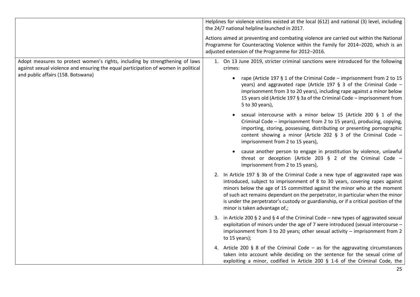|                                                                                                                                                                                                          | Helplines for violence victims existed at the local (612) and national (3) level, including<br>the 24/7 national helpline launched in 2017.                                                                                                                                                                                                                                                                                                          |
|----------------------------------------------------------------------------------------------------------------------------------------------------------------------------------------------------------|------------------------------------------------------------------------------------------------------------------------------------------------------------------------------------------------------------------------------------------------------------------------------------------------------------------------------------------------------------------------------------------------------------------------------------------------------|
|                                                                                                                                                                                                          | Actions aimed at preventing and combating violence are carried out within the National<br>Programme for Counteracting Violence within the Family for 2014-2020, which is an<br>adjusted extension of the Programme for 2012-2016.                                                                                                                                                                                                                    |
| Adopt measures to protect women's rights, including by strengthening of laws<br>against sexual violence and ensuring the equal participation of women in political<br>and public affairs (158. Botswana) | 1. On 13 June 2019, stricter criminal sanctions were introduced for the following<br>crimes:<br>rape (Article 197 § 1 of the Criminal Code – imprisonment from 2 to 15<br>years) and aggravated rape (Article 197 § 3 of the Criminal Code $-$<br>imprisonment from 3 to 20 years), including rape against a minor below<br>15 years old (Article 197 § 3a of the Criminal Code - imprisonment from<br>5 to 30 years),                               |
|                                                                                                                                                                                                          | sexual intercourse with a minor below 15 (Article 200 § 1 of the<br>Criminal Code - imprisonment from 2 to 15 years), producing, copying,<br>importing, storing, possessing, distributing or presenting pornographic<br>content showing a minor (Article 202 § 3 of the Criminal Code $-$<br>imprisonment from 2 to 15 years),                                                                                                                       |
|                                                                                                                                                                                                          | cause another person to engage in prostitution by violence, unlawful<br>threat or deception (Article 203 § 2 of the Criminal Code $-$<br>imprisonment from 2 to 15 years),                                                                                                                                                                                                                                                                           |
|                                                                                                                                                                                                          | 2. In Article 197 § 3b of the Criminal Code a new type of aggravated rape was<br>introduced, subject to imprisonment of 8 to 30 years, covering rapes against<br>minors below the age of 15 committed against the minor who at the moment<br>of such act remains dependant on the perpetrator, in particular when the minor<br>is under the perpetrator's custody or guardianship, or if a critical position of the<br>minor is taken advantage of,; |
|                                                                                                                                                                                                          | 3. in Article 200 § 2 and § 4 of the Criminal Code - new types of aggravated sexual<br>exploitation of minors under the age of 7 were introduced (sexual intercourse -<br>imprisonment from 3 to 20 years; other sexual activity $-$ imprisonment from 2<br>to $15$ years);                                                                                                                                                                          |
|                                                                                                                                                                                                          | 4. Article 200 § 8 of the Criminal Code – as for the aggravating circumstances<br>taken into account while deciding on the sentence for the sexual crime of<br>exploiting a minor, codified in Article 200 § 1-6 of the Criminal Code, the                                                                                                                                                                                                           |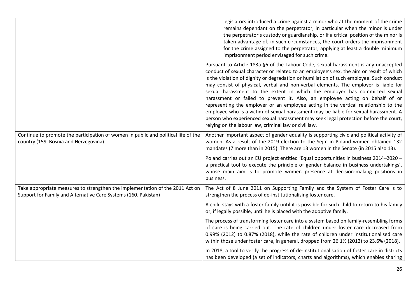|                                                                                                                                                  | legislators introduced a crime against a minor who at the moment of the crime<br>remains dependant on the perpetrator, in particular when the minor is under<br>the perpetrator's custody or guardianship, or if a critical position of the minor is<br>taken advantage of; in such circumstances, the court orders the imprisonment<br>for the crime assigned to the perpetrator, applying at least a double minimum<br>imprisonment period envisaged for such crime.                                                                                                                                                                                                                                                                                                                                                                                          |
|--------------------------------------------------------------------------------------------------------------------------------------------------|-----------------------------------------------------------------------------------------------------------------------------------------------------------------------------------------------------------------------------------------------------------------------------------------------------------------------------------------------------------------------------------------------------------------------------------------------------------------------------------------------------------------------------------------------------------------------------------------------------------------------------------------------------------------------------------------------------------------------------------------------------------------------------------------------------------------------------------------------------------------|
|                                                                                                                                                  | Pursuant to Article 183a §6 of the Labour Code, sexual harassment is any unaccepted<br>conduct of sexual character or related to an employee's sex, the aim or result of which<br>is the violation of dignity or degradation or humiliation of such employee. Such conduct<br>may consist of physical, verbal and non-verbal elements. The employer is liable for<br>sexual harassment to the extent in which the employer has committed sexual<br>harassment or failed to prevent it. Also, an employee acting on behalf of or<br>representing the employer or an employee acting in the vertical relationship to the<br>employee who is a victim of sexual harassment may be liable for sexual harassment. A<br>person who experienced sexual harassment may seek legal protection before the court,<br>relying on the labour law, criminal law or civil law. |
| Continue to promote the participation of women in public and political life of the<br>country (159. Bosnia and Herzegovina)                      | Another important aspect of gender equality is supporting civic and political activity of<br>women. As a result of the 2019 election to the Sejm in Poland women obtained 132<br>mandates (7 more than in 2015). There are 13 women in the Senate (in 2015 also 13).                                                                                                                                                                                                                                                                                                                                                                                                                                                                                                                                                                                            |
|                                                                                                                                                  | Poland carries out an EU project entitled 'Equal opportunities in business 2014-2020 -<br>a practical tool to execute the principle of gender balance in business undertakings',<br>whose main aim is to promote women presence at decision-making positions in<br>business.                                                                                                                                                                                                                                                                                                                                                                                                                                                                                                                                                                                    |
| Take appropriate measures to strengthen the implementation of the 2011 Act on<br>Support for Family and Alternative Care Systems (160. Pakistan) | The Act of 8 June 2011 on Supporting Family and the System of Foster Care is to<br>strengthen the process of de-institutionalising foster care.                                                                                                                                                                                                                                                                                                                                                                                                                                                                                                                                                                                                                                                                                                                 |
|                                                                                                                                                  | A child stays with a foster family until it is possible for such child to return to his family<br>or, if legally possible, until he is placed with the adoptive family.                                                                                                                                                                                                                                                                                                                                                                                                                                                                                                                                                                                                                                                                                         |
|                                                                                                                                                  | The process of transforming foster care into a system based on family-resembling forms<br>of care is being carried out. The rate of children under foster care decreased from<br>0.99% (2012) to 0.87% (2018), while the rate of children under institutionalised care<br>within those under foster care, in general, dropped from 26.1% (2012) to 23.6% (2018).                                                                                                                                                                                                                                                                                                                                                                                                                                                                                                |
|                                                                                                                                                  | In 2018, a tool to verify the progress of de-institutionalisation of foster care in districts<br>has been developed (a set of indicators, charts and algorithms), which enables sharing                                                                                                                                                                                                                                                                                                                                                                                                                                                                                                                                                                                                                                                                         |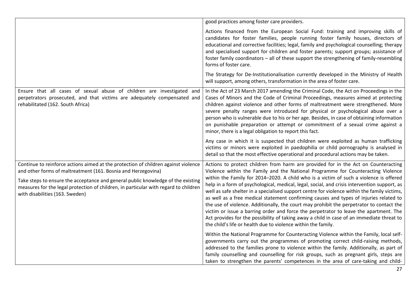|                                                                                                                                                                                                                                                                                                                                                                    | good practices among foster care providers.                                                                                                                                                                                                                                                                                                                                                                                                                                                                                                                                                                                                                                                                                                                                                                                                                                                                                                                                                                                                                                                                                                                                                                                                                                                                                                                            |
|--------------------------------------------------------------------------------------------------------------------------------------------------------------------------------------------------------------------------------------------------------------------------------------------------------------------------------------------------------------------|------------------------------------------------------------------------------------------------------------------------------------------------------------------------------------------------------------------------------------------------------------------------------------------------------------------------------------------------------------------------------------------------------------------------------------------------------------------------------------------------------------------------------------------------------------------------------------------------------------------------------------------------------------------------------------------------------------------------------------------------------------------------------------------------------------------------------------------------------------------------------------------------------------------------------------------------------------------------------------------------------------------------------------------------------------------------------------------------------------------------------------------------------------------------------------------------------------------------------------------------------------------------------------------------------------------------------------------------------------------------|
|                                                                                                                                                                                                                                                                                                                                                                    | Actions financed from the European Social Fund: training and improving skills of<br>candidates for foster families, people running foster family houses, directors of<br>educational and corrective facilities; legal, family and psychological counselling; therapy<br>and specialised support for children and foster parents; support groups; assistance of<br>foster family coordinators - all of these support the strengthening of family-resembling<br>forms of foster care.                                                                                                                                                                                                                                                                                                                                                                                                                                                                                                                                                                                                                                                                                                                                                                                                                                                                                    |
|                                                                                                                                                                                                                                                                                                                                                                    | The Strategy for De-Institutionalisation currently developed in the Ministry of Health<br>will support, among others, transformation in the area of foster care.                                                                                                                                                                                                                                                                                                                                                                                                                                                                                                                                                                                                                                                                                                                                                                                                                                                                                                                                                                                                                                                                                                                                                                                                       |
| Ensure that all cases of sexual abuse of children are investigated and<br>perpetrators prosecuted, and that victims are adequately compensated and<br>rehabilitated (162. South Africa)                                                                                                                                                                            | In the Act of 23 March 2017 amending the Criminal Code, the Act on Proceedings in the<br>Cases of Minors and the Code of Criminal Proceedings, measures aimed at protecting<br>children against violence and other forms of maltreatment were strengthened. More<br>severe penalty ranges were introduced for physical or psychological abuse over a<br>person who is vulnerable due to his or her age. Besides, in case of obtaining information<br>on punishable preparation or attempt or commitment of a sexual crime against a<br>minor, there is a legal obligation to report this fact.                                                                                                                                                                                                                                                                                                                                                                                                                                                                                                                                                                                                                                                                                                                                                                         |
|                                                                                                                                                                                                                                                                                                                                                                    | Any case in which it is suspected that children were exploited as human trafficking<br>victims or minors were exploited in paedophilia or child pornography is analysed in<br>detail so that the most effective operational and procedural actions may be taken.                                                                                                                                                                                                                                                                                                                                                                                                                                                                                                                                                                                                                                                                                                                                                                                                                                                                                                                                                                                                                                                                                                       |
| Continue to reinforce actions aimed at the protection of children against violence<br>and other forms of maltreatment (161. Bosnia and Herzegovina)<br>Take steps to ensure the acceptance and general public knowledge of the existing<br>measures for the legal protection of children, in particular with regard to children<br>with disabilities (163. Sweden) | Actions to protect children from harm are provided for in the Act on Counteracting<br>Violence within the Family and the National Programme for Counteracting Violence<br>within the Family for 2014-2020. A child who is a victim of such a violence is offered<br>help in a form of psychological, medical, legal, social, and crisis intervention support, as<br>well as safe shelter in a specialised support centre for violence within the family victims,<br>as well as a free medical statement confirming causes and types of injuries related to<br>the use of violence. Additionally, the court may prohibit the perpetrator to contact the<br>victim or issue a barring order and force the perpetrator to leave the apartment. The<br>Act provides for the possibility of taking away a child in case of an immediate threat to<br>the child's life or health due to violence within the family.<br>Within the National Programme for Counteracting Violence within the Family, local self-<br>governments carry out the programmes of promoting correct child-raising methods,<br>addressed to the families prone to violence within the family. Additionally, as part of<br>family counselling and counselling for risk groups, such as pregnant girls, steps are<br>taken to strengthen the parents' competences in the area of care-taking and child- |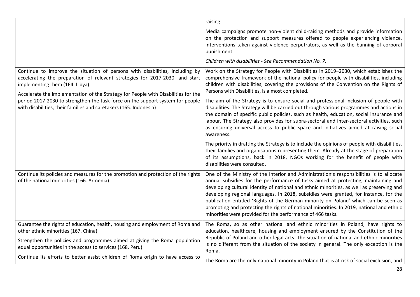|                                                                                                                                                                                                                                                                  | raising.                                                                                                                                                                                                                                                                                                                                                                                                                                                                                                                                                                                                              |
|------------------------------------------------------------------------------------------------------------------------------------------------------------------------------------------------------------------------------------------------------------------|-----------------------------------------------------------------------------------------------------------------------------------------------------------------------------------------------------------------------------------------------------------------------------------------------------------------------------------------------------------------------------------------------------------------------------------------------------------------------------------------------------------------------------------------------------------------------------------------------------------------------|
|                                                                                                                                                                                                                                                                  | Media campaigns promote non-violent child-raising methods and provide information<br>on the protection and support measures offered to people experiencing violence,<br>interventions taken against violence perpetrators, as well as the banning of corporal<br>punishment.                                                                                                                                                                                                                                                                                                                                          |
|                                                                                                                                                                                                                                                                  | Children with disabilities - See Recommendation No. 7.                                                                                                                                                                                                                                                                                                                                                                                                                                                                                                                                                                |
| Continue to improve the situation of persons with disabilities, including by<br>accelerating the preparation of relevant strategies for 2017-2030, and start<br>implementing them (164. Libya)                                                                   | Work on the Strategy for People with Disabilities in 2019-2030, which establishes the<br>comprehensive framework of the national policy for people with disabilities, including<br>children with disabilities, covering the provisions of the Convention on the Rights of<br>Persons with Disabilities, is almost completed.                                                                                                                                                                                                                                                                                          |
| Accelerate the implementation of the Strategy for People with Disabilities for the<br>period 2017-2030 to strengthen the task force on the support system for people<br>with disabilities, their families and caretakers (165. Indonesia)                        | The aim of the Strategy is to ensure social and professional inclusion of people with<br>disabilities. The Strategy will be carried out through various programmes and actions in<br>the domain of specific public policies, such as health, education, social insurance and<br>labour. The Strategy also provides for supra-sectoral and inter-sectoral activities, such<br>as ensuring universal access to public space and initiatives aimed at raising social<br>awareness.                                                                                                                                       |
|                                                                                                                                                                                                                                                                  | The priority in drafting the Strategy is to include the opinions of people with disabilities,<br>their families and organisations representing them. Already at the stage of preparation<br>of its assumptions, back in 2018, NGOs working for the benefit of people with<br>disabilities were consulted.                                                                                                                                                                                                                                                                                                             |
| Continue its policies and measures for the promotion and protection of the rights<br>of the national minorities (166. Armenia)                                                                                                                                   | One of the Ministry of the Interior and Administration's responsibilities is to allocate<br>annual subsidies for the performance of tasks aimed at protecting, maintaining and<br>developing cultural identity of national and ethnic minorities, as well as preserving and<br>developing regional languages. In 2018, subsidies were granted, for instance, for the<br>publication entitled 'Rights of the German minority on Poland' which can be seen as<br>promoting and protecting the rights of national minorities. In 2019, national and ethnic<br>minorities were provided for the performance of 466 tasks. |
| Guarantee the rights of education, health, housing and employment of Roma and<br>other ethnic minorities (167. China)<br>Strengthen the policies and programmes aimed at giving the Roma population<br>equal opportunities in the access to services (168. Peru) | The Roma, so as other national and ethnic minorities in Poland, have rights to<br>education, healthcare, housing and employment ensured by the Constitution of the<br>Republic of Poland and other legal acts. The situation of national and ethnic minorities<br>is no different from the situation of the society in general. The only exception is the<br>Roma.                                                                                                                                                                                                                                                    |
| Continue its efforts to better assist children of Roma origin to have access to                                                                                                                                                                                  | The Roma are the only national minority in Poland that is at risk of social exclusion, and                                                                                                                                                                                                                                                                                                                                                                                                                                                                                                                            |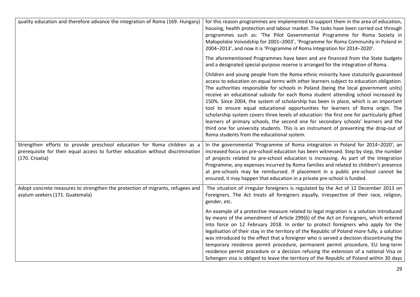| quality education and therefore advance the integration of Roma (169. Hungary)                                                                                                | for this reason programmes are implemented to support them in the area of education,<br>housing, health protection and labour market. The tasks have been carried out through<br>programmes such as: 'The Pilot Governmental Programme for Roma Society in<br>Małopolskie Voivodship for 2001-2003', 'Programme for Roma Community in Poland in<br>2004-2013', and now it is 'Programme of Roma Integration for 2014-2020'.                                                                                                                                                                                                                                                                                                                                                                                                                                          |
|-------------------------------------------------------------------------------------------------------------------------------------------------------------------------------|----------------------------------------------------------------------------------------------------------------------------------------------------------------------------------------------------------------------------------------------------------------------------------------------------------------------------------------------------------------------------------------------------------------------------------------------------------------------------------------------------------------------------------------------------------------------------------------------------------------------------------------------------------------------------------------------------------------------------------------------------------------------------------------------------------------------------------------------------------------------|
|                                                                                                                                                                               | The aforementioned Programmes have been and are financed from the State budgets<br>and a designated special-purpose reserve is arranged for the integration of Roma.                                                                                                                                                                                                                                                                                                                                                                                                                                                                                                                                                                                                                                                                                                 |
|                                                                                                                                                                               | Children and young people from the Roma ethnic minority have statutorily guaranteed<br>access to education on equal terms with other learners subject to education obligation.<br>The authorities responsible for schools in Poland (being the local government units)<br>receive an educational subsidy for each Roma student attending school increased by<br>150%. Since 2004, the system of scholarship has been in place, which is an important<br>tool to ensure equal educational opportunities for learners of Roma origin. The<br>scholarship system covers three levels of education: the first one for particularly gifted<br>learners of primary schools, the second one for secondary schools' learners and the<br>third one for university students. This is an instrument of preventing the drop-out of<br>Roma students from the educational system. |
| Strengthen efforts to provide preschool education for Roma children as a<br>prerequisite for their equal access to further education without discrimination<br>(170. Croatia) | In the governmental 'Programme of Roma integration in Poland for 2014-2020', an<br>increased focus on pre-school education has been witnessed. Step by step, the number<br>of projects related to pre-school education is increasing. As part of the Integration<br>Programme, any expenses incurred by Roma families and related to children's presence<br>at pre-schools may be reimbursed. If placement in a public pre-school cannot be<br>ensured, it may happen that education in a private pre-school is funded.                                                                                                                                                                                                                                                                                                                                              |
| Adopt concrete measures to strengthen the protection of migrants, refugees and<br>asylum seekers (171. Guatemala)                                                             | The situation of irregular foreigners is regulated by the Act of 12 December 2013 on<br>Foreigners. The Act treats all foreigners equally, irrespective of their race, religion,<br>gender, etc.                                                                                                                                                                                                                                                                                                                                                                                                                                                                                                                                                                                                                                                                     |
|                                                                                                                                                                               | An example of a protective measure related to legal migration is a solution introduced<br>by means of the amendment of Article 299(6) of the Act on Foreigners, which entered<br>into force on 12 February 2018. In order to protect foreigners who apply for the<br>legalisation of their stay in the territory of the Republic of Poland more fully, a solution<br>was introduced to the effect that a foreigner who is served a decision discontinuing the<br>temporary residence permit procedure, permanent permit procedure, EU long-term<br>residence permit procedure or a decision refusing the extension of a national Visa or<br>Schengen visa is obliged to leave the territory of the Republic of Poland within 30 days                                                                                                                                 |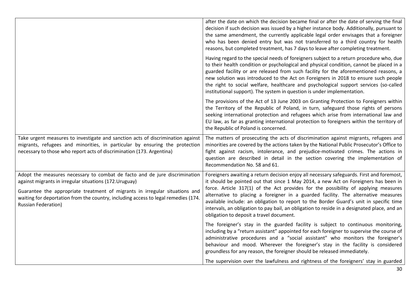|                                                                                                                                                                                                                                                                                                                                          | after the date on which the decision became final or after the date of serving the final<br>decision if such decision was issued by a higher instance body. Additionally, pursuant to<br>the same amendment, the currently applicable legal order envisages that a foreigner<br>who has been denied entry but was not transferred to a third country for health<br>reasons, but completed treatment, has 7 days to leave after completing treatment.                                                                                                                                              |
|------------------------------------------------------------------------------------------------------------------------------------------------------------------------------------------------------------------------------------------------------------------------------------------------------------------------------------------|---------------------------------------------------------------------------------------------------------------------------------------------------------------------------------------------------------------------------------------------------------------------------------------------------------------------------------------------------------------------------------------------------------------------------------------------------------------------------------------------------------------------------------------------------------------------------------------------------|
|                                                                                                                                                                                                                                                                                                                                          | Having regard to the special needs of foreigners subject to a return procedure who, due<br>to their health condition or psychological and physical condition, cannot be placed in a<br>guarded facility or are released from such facility for the aforementioned reasons, a<br>new solution was introduced to the Act on Foreigners in 2018 to ensure such people<br>the right to social welfare, healthcare and psychological support services (so-called<br>institutional support). The system in question is under implementation.                                                            |
|                                                                                                                                                                                                                                                                                                                                          | The provisions of the Act of 13 June 2003 on Granting Protection to Foreigners within<br>the Territory of the Republic of Poland, in turn, safeguard those rights of persons<br>seeking international protection and refugees which arise from international law and<br>EU law, as far as granting international protection to foreigners within the territory of<br>the Republic of Poland is concerned.                                                                                                                                                                                         |
| Take urgent measures to investigate and sanction acts of discrimination against<br>migrants, refugees and minorities, in particular by ensuring the protection<br>necessary to those who report acts of discrimination (173. Argentina)                                                                                                  | The matters of prosecuting the acts of discrimination against migrants, refugees and<br>minorities are covered by the actions taken by the National Public Prosecutor's Office to<br>fight against racism, intolerance, and prejudice-motivated crimes. The actions in<br>question are described in detail in the section covering the implementation of<br>Recommendation No. 58 and 61.                                                                                                                                                                                                         |
| Adopt the measures necessary to combat de facto and de jure discrimination<br>against migrants in irregular situations (172. Uruguay)<br>Guarantee the appropriate treatment of migrants in irregular situations and<br>waiting for deportation from the country, including access to legal remedies (174.<br><b>Russian Federation)</b> | Foreigners awaiting a return decision enjoy all necessary safeguards. First and foremost,<br>it should be pointed out that since 1 May 2014, a new Act on Foreigners has been in<br>force. Article 317(1) of the Act provides for the possibility of applying measures<br>alternative to placing a foreigner in a guarded facility. The alternative measures<br>available include: an obligation to report to the Border Guard's unit in specific time<br>intervals, an obligation to pay bail, an obligation to reside in a designated place, and an<br>obligation to deposit a travel document. |
|                                                                                                                                                                                                                                                                                                                                          | The foreigner's stay in the guarded facility is subject to continuous monitoring,<br>including by a "return assistant" appointed for each foreigner to supervise the course of<br>administrative procedures and a "social assistant" who monitors the foreigner's<br>behaviour and mood. Wherever the foreigner's stay in the facility is considered<br>groundless for any reason, the foreigner should be released immediately.                                                                                                                                                                  |
|                                                                                                                                                                                                                                                                                                                                          | The supervision over the lawfulness and rightness of the foreigners' stay in guarded                                                                                                                                                                                                                                                                                                                                                                                                                                                                                                              |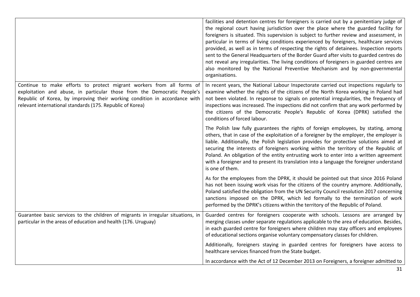|                                                                                                                                                                                                                                                                                              | facilities and detention centres for foreigners is carried out by a penitentiary judge of<br>the regional court having jurisdiction over the place where the guarded facility for<br>foreigners is situated. This supervision is subject to further review and assessment, in<br>particular in terms of living conditions experienced by foreigners, healthcare services<br>provided, as well as in terms of respecting the rights of detainees. Inspection reports<br>sent to the General Headquarters of the Border Guard after visits to guarded centres do<br>not reveal any irregularities. The living conditions of foreigners in guarded centres are<br>also monitored by the National Preventive Mechanism and by non-governmental<br>organisations. |
|----------------------------------------------------------------------------------------------------------------------------------------------------------------------------------------------------------------------------------------------------------------------------------------------|--------------------------------------------------------------------------------------------------------------------------------------------------------------------------------------------------------------------------------------------------------------------------------------------------------------------------------------------------------------------------------------------------------------------------------------------------------------------------------------------------------------------------------------------------------------------------------------------------------------------------------------------------------------------------------------------------------------------------------------------------------------|
| Continue to make efforts to protect migrant workers from all forms of<br>exploitation and abuse, in particular those from the Democratic People's<br>Republic of Korea, by improving their working condition in accordance with<br>relevant international standards (175. Republic of Korea) | In recent years, the National Labour Inspectorate carried out inspections regularly to<br>examine whether the rights of the citizens of the North Korea working in Poland had<br>not been violated. In response to signals on potential irregularities, the frequency of<br>inspections was increased. The inspections did not confirm that any work performed by<br>the citizens of the Democratic People's Republic of Korea (DPRK) satisfied the<br>conditions of forced labour.                                                                                                                                                                                                                                                                          |
|                                                                                                                                                                                                                                                                                              | The Polish law fully guarantees the rights of foreign employees, by stating, among<br>others, that in case of the exploitation of a foreigner by the employer, the employer is<br>liable. Additionally, the Polish legislation provides for protective solutions aimed at<br>securing the interests of foreigners working within the territory of the Republic of<br>Poland. An obligation of the entity entrusting work to enter into a written agreement<br>with a foreigner and to present its translation into a language the foreigner understand<br>is one of them.                                                                                                                                                                                    |
|                                                                                                                                                                                                                                                                                              | As for the employees from the DPRK, it should be pointed out that since 2016 Poland<br>has not been issuing work visas for the citizens of the country anymore. Additionally,<br>Poland satisfied the obligation from the UN Security Council resolution 2017 concerning<br>sanctions imposed on the DPRK, which led formally to the termination of work<br>performed by the DPRK's citizens within the territory of the Republic of Poland.                                                                                                                                                                                                                                                                                                                 |
| Guarantee basic services to the children of migrants in irregular situations, in<br>particular in the areas of education and health (176. Uruguay)                                                                                                                                           | Guarded centres for foreigners cooperate with schools. Lessons are arranged by<br>merging classes under separate regulations applicable to the area of education. Besides,<br>in each guarded centre for foreigners where children may stay officers and employees<br>of educational sections organise voluntary compensatory classes for children.                                                                                                                                                                                                                                                                                                                                                                                                          |
|                                                                                                                                                                                                                                                                                              | Additionally, foreigners staying in guarded centres for foreigners have access to<br>healthcare services financed from the State budget.<br>In accordance with the Act of 12 December 2013 on Foreigners, a foreigner admitted to                                                                                                                                                                                                                                                                                                                                                                                                                                                                                                                            |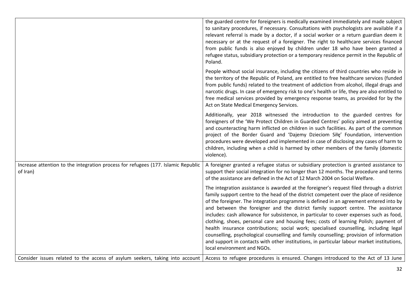|                                                                                               | the guarded centre for foreigners is medically examined immediately and made subject<br>to sanitary procedures, if necessary. Consultations with psychologists are available if a<br>relevant referral is made by a doctor, if a social worker or a return guardian deem it<br>necessary or at the request of a foreigner. The right to healthcare services financed<br>from public funds is also enjoyed by children under 18 who have been granted a<br>refugee status, subsidiary protection or a temporary residence permit in the Republic of<br>Poland.                                                                                                                                                                                                                                                                                                           |
|-----------------------------------------------------------------------------------------------|-------------------------------------------------------------------------------------------------------------------------------------------------------------------------------------------------------------------------------------------------------------------------------------------------------------------------------------------------------------------------------------------------------------------------------------------------------------------------------------------------------------------------------------------------------------------------------------------------------------------------------------------------------------------------------------------------------------------------------------------------------------------------------------------------------------------------------------------------------------------------|
|                                                                                               | People without social insurance, including the citizens of third countries who reside in<br>the territory of the Republic of Poland, are entitled to free healthcare services (funded<br>from public funds) related to the treatment of addiction from alcohol, illegal drugs and<br>narcotic drugs. In case of emergency risk to one's health or life, they are also entitled to<br>free medical services provided by emergency response teams, as provided for by the<br>Act on State Medical Emergency Services.                                                                                                                                                                                                                                                                                                                                                     |
|                                                                                               | Additionally, year 2018 witnessed the introduction to the guarded centres for<br>foreigners of the 'We Protect Children in Guarded Centres' policy aimed at preventing<br>and counteracting harm inflicted on children in such facilities. As part of the common<br>project of the Border Guard and 'Dajemy Dzieciom Siłę' Foundation, intervention<br>procedures were developed and implemented in case of disclosing any cases of harm to<br>children, including when a child is harmed by other members of the family (domestic<br>violence).                                                                                                                                                                                                                                                                                                                        |
| Increase attention to the integration process for refugees (177. Islamic Republic<br>of Iran) | A foreigner granted a refugee status or subsidiary protection is granted assistance to<br>support their social integration for no longer than 12 months. The procedure and terms<br>of the assistance are defined in the Act of 12 March 2004 on Social Welfare.                                                                                                                                                                                                                                                                                                                                                                                                                                                                                                                                                                                                        |
|                                                                                               | The integration assistance is awarded at the foreigner's request filed through a district<br>family support centre to the head of the district competent over the place of residence<br>of the foreigner. The integration programme is defined in an agreement entered into by<br>and between the foreigner and the district family support centre. The assistance<br>includes: cash allowance for subsistence, in particular to cover expenses such as food,<br>clothing, shoes, personal care and housing fees; costs of learning Polish; payment of<br>health insurance contributions; social work; specialised counselling, including legal<br>counselling, psychological counselling and family counselling; provision of information<br>and support in contacts with other institutions, in particular labour market institutions,<br>local environment and NGOs. |
| Consider issues related to the access of asylum seekers, taking into account                  | Access to refugee procedures is ensured. Changes introduced to the Act of 13 June                                                                                                                                                                                                                                                                                                                                                                                                                                                                                                                                                                                                                                                                                                                                                                                       |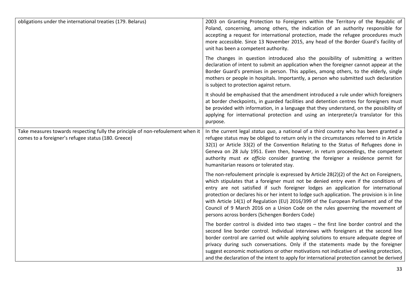| obligations under the international treaties (179. Belarus)                                                                            | 2003 on Granting Protection to Foreigners within the Territory of the Republic of<br>Poland, concerning, among others, the indication of an authority responsible for<br>accepting a request for international protection, made the refugee procedures much<br>more accessible. Since 13 November 2015, any head of the Border Guard's facility of<br>unit has been a competent authority.                                                                                                                                                                                                        |
|----------------------------------------------------------------------------------------------------------------------------------------|---------------------------------------------------------------------------------------------------------------------------------------------------------------------------------------------------------------------------------------------------------------------------------------------------------------------------------------------------------------------------------------------------------------------------------------------------------------------------------------------------------------------------------------------------------------------------------------------------|
|                                                                                                                                        | The changes in question introduced also the possibility of submitting a written<br>declaration of intent to submit an application when the foreigner cannot appear at the<br>Border Guard's premises in person. This applies, among others, to the elderly, single<br>mothers or people in hospitals. Importantly, a person who submitted such declaration<br>is subject to protection against return.                                                                                                                                                                                            |
|                                                                                                                                        | It should be emphasised that the amendment introduced a rule under which foreigners<br>at border checkpoints, in guarded facilities and detention centres for foreigners must<br>be provided with information, in a language that they understand, on the possibility of<br>applying for international protection and using an interpreter/a translator for this<br>purpose.                                                                                                                                                                                                                      |
| Take measures towards respecting fully the principle of non-refoulement when it<br>comes to a foreigner's refugee status (180. Greece) | In the current legal status quo, a national of a third country who has been granted a<br>refugee status may be obliged to return only in the circumstances referred to in Article<br>32(1) or Article 33(2) of the Convention Relating to the Status of Refugees done in<br>Geneva on 28 July 1951. Even then, however, in return proceedings, the competent<br>authority must ex officio consider granting the foreigner a residence permit for<br>humanitarian reasons or tolerated stay.                                                                                                       |
|                                                                                                                                        | The non-refoulement principle is expressed by Article 28(2)(2) of the Act on Foreigners,<br>which stipulates that a foreigner must not be denied entry even if the conditions of<br>entry are not satisfied if such foreigner lodges an application for international<br>protection or declares his or her intent to lodge such application. The provision is in line<br>with Article 14(1) of Regulation (EU) 2016/399 of the European Parliament and of the<br>Council of 9 March 2016 on a Union Code on the rules governing the movement of<br>persons across borders (Schengen Borders Code) |
|                                                                                                                                        | The border control is divided into two stages $-$ the first line border control and the<br>second line border control. Individual interviews with foreigners at the second line<br>border control are carried out while applying solutions to ensure adequate degree of<br>privacy during such conversations. Only if the statements made by the foreigner<br>suggest economic motivations or other motivations not indicative of seeking protection,<br>and the declaration of the intent to apply for international protection cannot be derived                                                |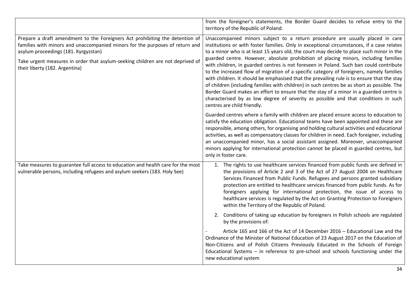|                                                                                                                                                                                                                                                                                                                          | from the foreigner's statements, the Border Guard decides to refuse entry to the<br>territory of the Republic of Poland.                                                                                                                                                                                                                                                                                                                                                                                                                                                                                                                                                                                                                                                                                                                                                                                                                                         |
|--------------------------------------------------------------------------------------------------------------------------------------------------------------------------------------------------------------------------------------------------------------------------------------------------------------------------|------------------------------------------------------------------------------------------------------------------------------------------------------------------------------------------------------------------------------------------------------------------------------------------------------------------------------------------------------------------------------------------------------------------------------------------------------------------------------------------------------------------------------------------------------------------------------------------------------------------------------------------------------------------------------------------------------------------------------------------------------------------------------------------------------------------------------------------------------------------------------------------------------------------------------------------------------------------|
| Prepare a draft amendment to the Foreigners Act prohibiting the detention of<br>families with minors and unaccompanied minors for the purposes of return and<br>asylum proceedings (181. Kyrgyzstan)<br>Take urgent measures in order that asylum-seeking children are not deprived of<br>their liberty (182. Argentina) | Unaccompanied minors subject to a return procedure are usually placed in care<br>institutions or with foster families. Only in exceptional circumstances, if a case relates<br>to a minor who is at least 15 years old, the court may decide to place such minor in the<br>guarded centre. However, absolute prohibition of placing minors, including families<br>with children, in guarded centres is not foreseen in Poland. Such ban could contribute<br>to the increased flow of migration of a specific category of foreigners, namely families<br>with children. It should be emphasised that the prevailing rule is to ensure that the stay<br>of children (including families with children) in such centres be as short as possible. The<br>Border Guard makes an effort to ensure that the stay of a minor in a guarded centre is<br>characterised by as low degree of severity as possible and that conditions in such<br>centres are child friendly. |
|                                                                                                                                                                                                                                                                                                                          | Guarded centres where a family with children are placed ensure access to education to<br>satisfy the education obligation. Educational teams have been appointed and these are<br>responsible, among others, for organising and holding cultural activities and educational<br>activities, as well as compensatory classes for children in need. Each foreigner, including<br>an unaccompanied minor, has a social assistant assigned. Moreover, unaccompanied<br>minors applying for international protection cannot be placed in guarded centres, but<br>only in foster care.                                                                                                                                                                                                                                                                                                                                                                                  |
| Take measures to guarantee full access to education and health care for the most<br>vulnerable persons, including refugees and asylum seekers (183. Holy See)                                                                                                                                                            | 1. The rights to use healthcare services financed from public funds are defined in<br>the provisions of Article 2 and 3 of the Act of 27 August 2004 on Healthcare<br>Services Financed from Public Funds. Refugees and persons granted subsidiary<br>protection are entitled to healthcare services financed from public funds. As for<br>foreigners applying for international protection, the issue of access to<br>healthcare services is regulated by the Act on Granting Protection to Foreigners<br>within the Territory of the Republic of Poland.                                                                                                                                                                                                                                                                                                                                                                                                       |
|                                                                                                                                                                                                                                                                                                                          | 2. Conditions of taking up education by foreigners in Polish schools are regulated<br>by the provisions of:                                                                                                                                                                                                                                                                                                                                                                                                                                                                                                                                                                                                                                                                                                                                                                                                                                                      |
|                                                                                                                                                                                                                                                                                                                          | Article 165 and 166 of the Act of 14 December 2016 - Educational Law and the<br>Ordinance of the Minister of National Education of 23 August 2017 on the Education of<br>Non-Citizens and of Polish Citizens Previously Educated in the Schools of Foreign<br>Educational Systems - in reference to pre-school and schools functioning under the<br>new educational system                                                                                                                                                                                                                                                                                                                                                                                                                                                                                                                                                                                       |